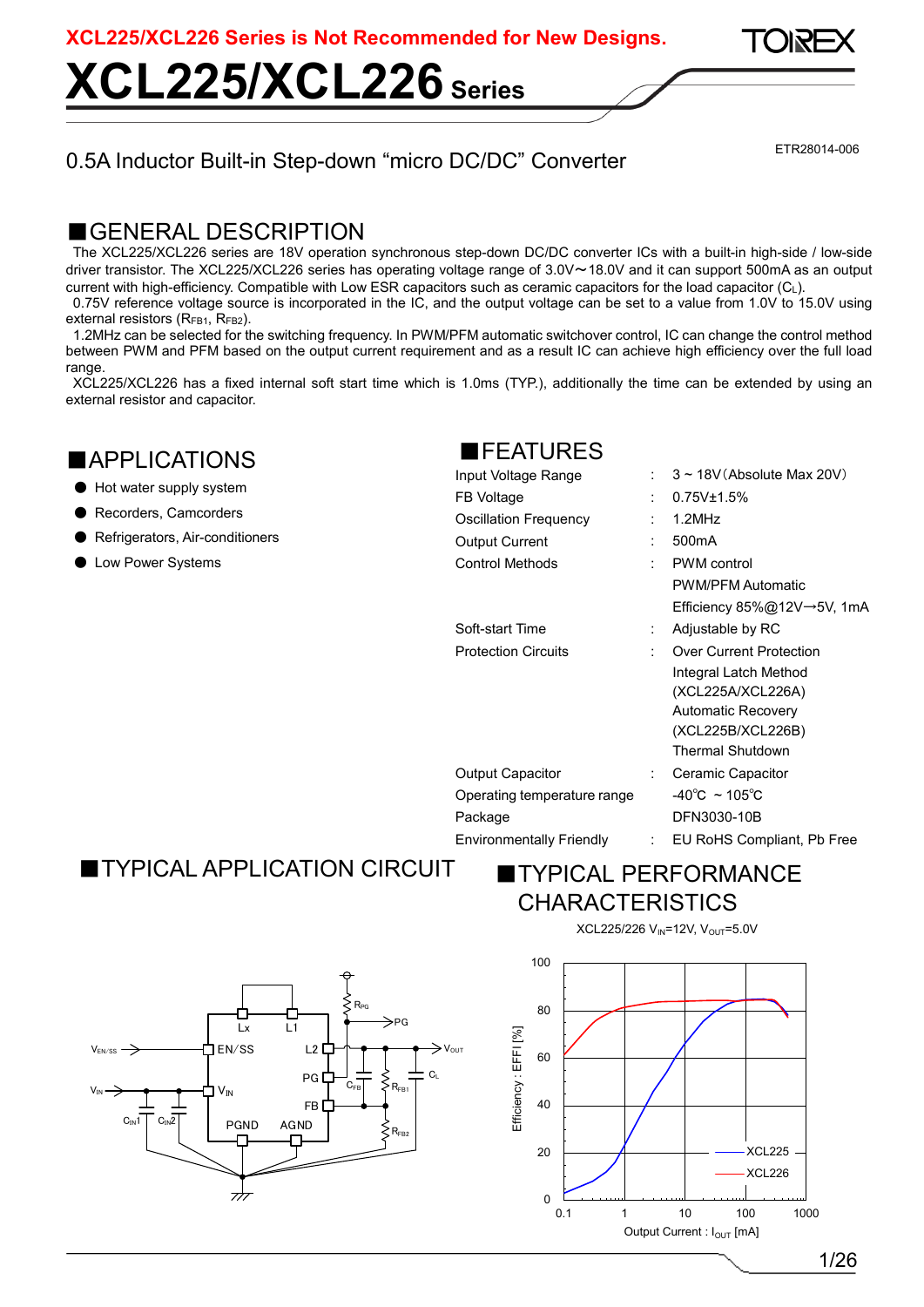**XCL225/XCL226 Series**

### 0.5A Inductor Built-in Step-down "micro DC/DC" Converter

ETR28014-006

### GENERAL DESCRIPTION

The XCL225/XCL226 series are 18V operation synchronous step-down DC/DC converter ICs with a built-in high-side / low-side driver transistor. The XCL225/XCL226 series has operating voltage range of 3.0V~18.0V and it can support 500mA as an output current with high-efficiency. Compatible with Low ESR capacitors such as ceramic capacitors for the load capacitor (CL).

0.75V reference voltage source is incorporated in the IC, and the output voltage can be set to a value from 1.0V to 15.0V using external resistors (R<sub>FB1</sub>, R<sub>FB2</sub>).

1.2MHz can be selected for the switching frequency. In PWM/PFM automatic switchover control, IC can change the control method between PWM and PFM based on the output current requirement and as a result IC can achieve high efficiency over the full load range.

XCL225/XCL226 has a fixed internal soft start time which is 1.0ms (TYP.), additionally the time can be extended by using an external resistor and capacitor.

### ■APPLICATIONS

- Hot water supply system
- Recorders, Camcorders
- Refrigerators, Air-conditioners
- Low Power Systems

### ■FEATURES

| Input Voltage Range         |                           | $3 \sim 18V$ (Absolute Max 20V)    |
|-----------------------------|---------------------------|------------------------------------|
| FB Voltage                  | $\cdot$                   | $0.75V_{\pm}1.5\%$                 |
| Oscillation Frequency       | ٠                         | $1.2$ MHz                          |
| Output Current              | ÷                         | 500 <sub>m</sub> A                 |
| <b>Control Methods</b>      | ٠                         | <b>PWM</b> control                 |
|                             |                           | <b>PWM/PFM Automatic</b>           |
|                             |                           | Efficiency 85%@12V→5V, 1mA         |
| Soft-start Time             |                           | Adjustable by RC                   |
| <b>Protection Circuits</b>  |                           | <b>Over Current Protection</b>     |
|                             |                           | Integral Latch Method              |
|                             |                           | (XCL225A/XCL226A)                  |
|                             |                           | <b>Automatic Recovery</b>          |
|                             |                           | (XCL225B/XCL226B)                  |
|                             |                           | <b>Thermal Shutdown</b>            |
| Output Capacitor            | $\mathbb{R}^n$            | Ceramic Capacitor                  |
| Operating temperature range |                           | $-40^{\circ}$ C ~ 105 $^{\circ}$ C |
| Package                     |                           | DFN3030-10B                        |
| Environmentally Friendly    | $\mathbb{R}^{\mathbb{Z}}$ | EU RoHS Compliant, Pb Free         |
|                             |                           |                                    |

### ■TYPICAL APPLICATION CIRCUIT





XCL225/226 V<sub>IN</sub>=12V, V<sub>OUT</sub>=5.0V

XCL<sub>225</sub> XCL226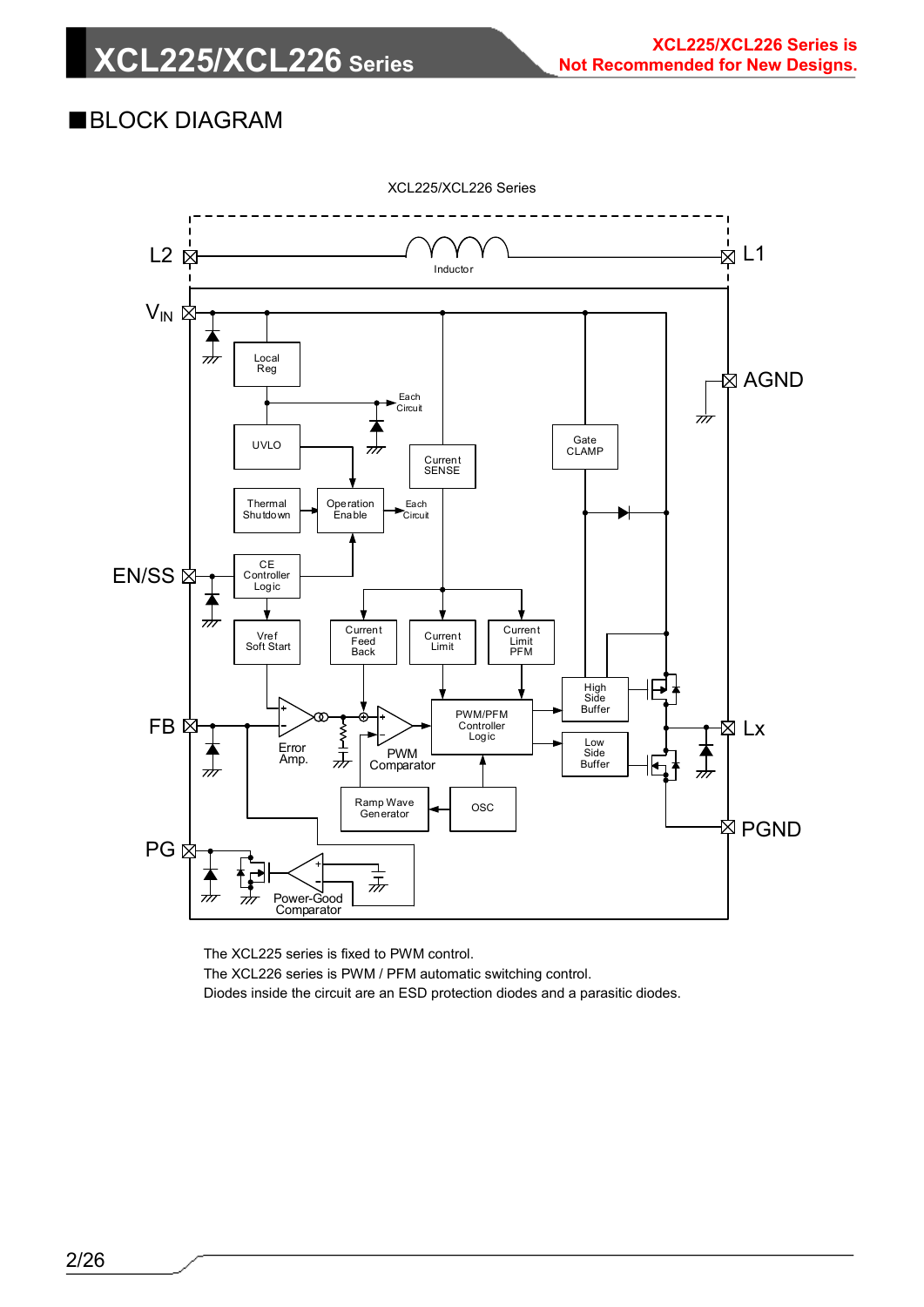### ■BLOCK DIAGRAM



The XCL225 series is fixed to PWM control. The XCL226 series is PWM / PFM automatic switching control. Diodes inside the circuit are an ESD protection diodes and a parasitic diodes.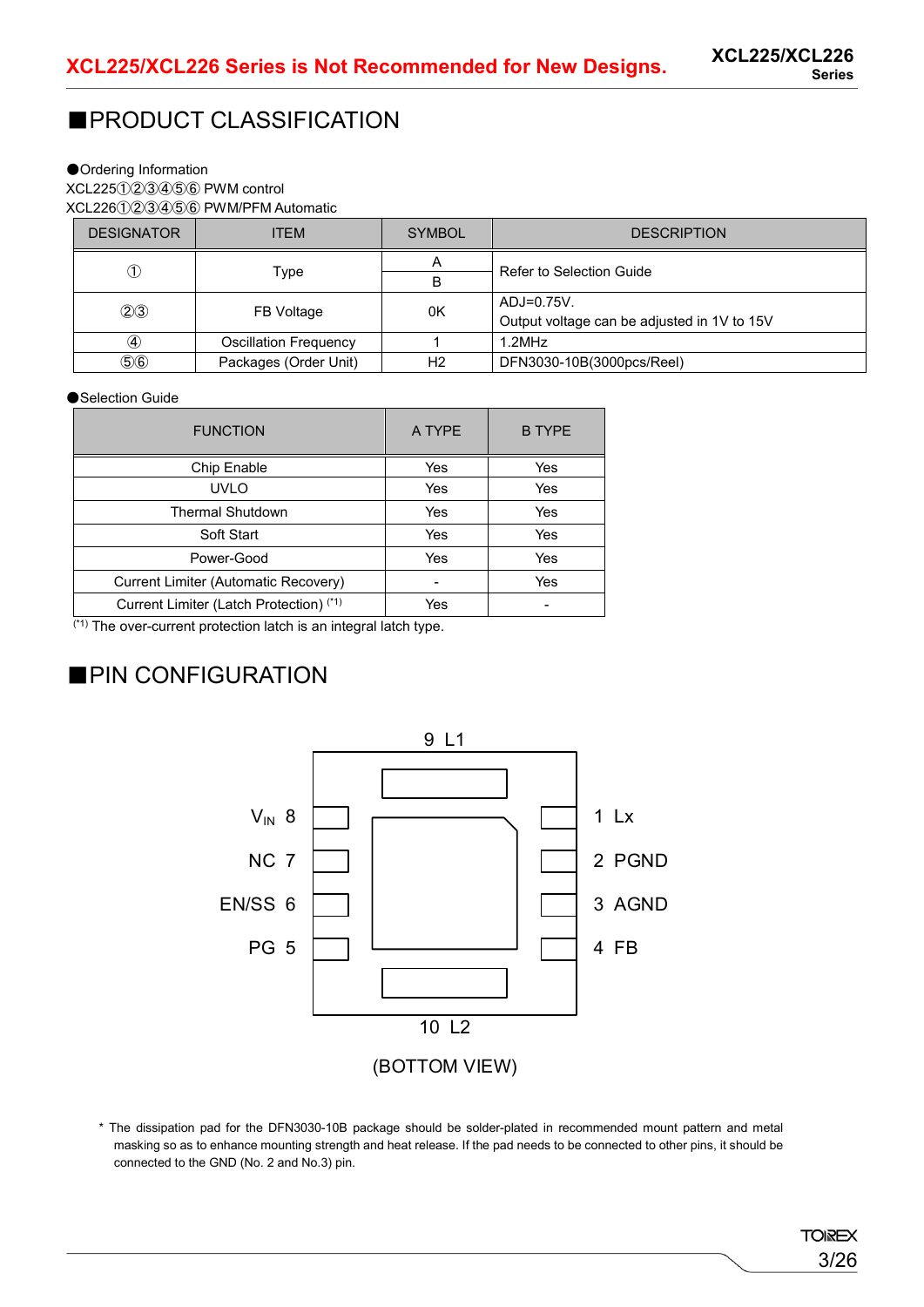### ■PRODUCT CLASSIFICATION

### ●Ordering Information

XCL225①②③④⑤⑥ PWM control XCL226①②③④⑤⑥ PWM/PFM Automatic

| <b>DESIGNATOR</b> | <b>ITEM</b>                  | <b>SYMBOL</b> | <b>DESCRIPTION</b>                          |  |
|-------------------|------------------------------|---------------|---------------------------------------------|--|
|                   |                              | A             | Refer to Selection Guide                    |  |
| ➀                 | Type                         | В             |                                             |  |
| (2)3              | FB Voltage                   | 0K            | ADJ=0.75V.                                  |  |
|                   |                              |               | Output voltage can be adjusted in 1V to 15V |  |
| 4                 | <b>Oscillation Frequency</b> |               | $1.2$ MHz                                   |  |
| (5)6              | Packages (Order Unit)        | Н2            | DFN3030-10B(3000pcs/Reel)                   |  |

#### ●Selection Guide

| <b>FUNCTION</b>                         | A TYPE | <b>B TYPE</b> |
|-----------------------------------------|--------|---------------|
| Chip Enable                             | Yes    | Yes           |
| UVLO                                    | Yes    | Yes           |
| <b>Thermal Shutdown</b>                 | Yes    | Yes           |
| Soft Start                              | Yes    | Yes           |
| Power-Good                              | Yes    | Yes           |
| Current Limiter (Automatic Recovery)    |        | Yes           |
| Current Limiter (Latch Protection) (*1) | Yes    |               |
| $\cdots$                                |        |               |

(\*1) The over-current protection latch is an integral latch type.

### ■PIN CONFIGURATION



\* The dissipation pad for the DFN3030-10B package should be solder-plated in recommended mount pattern and metal masking so as to enhance mounting strength and heat release. If the pad needs to be connected to other pins, it should be connected to the GND (No. 2 and No.3) pin.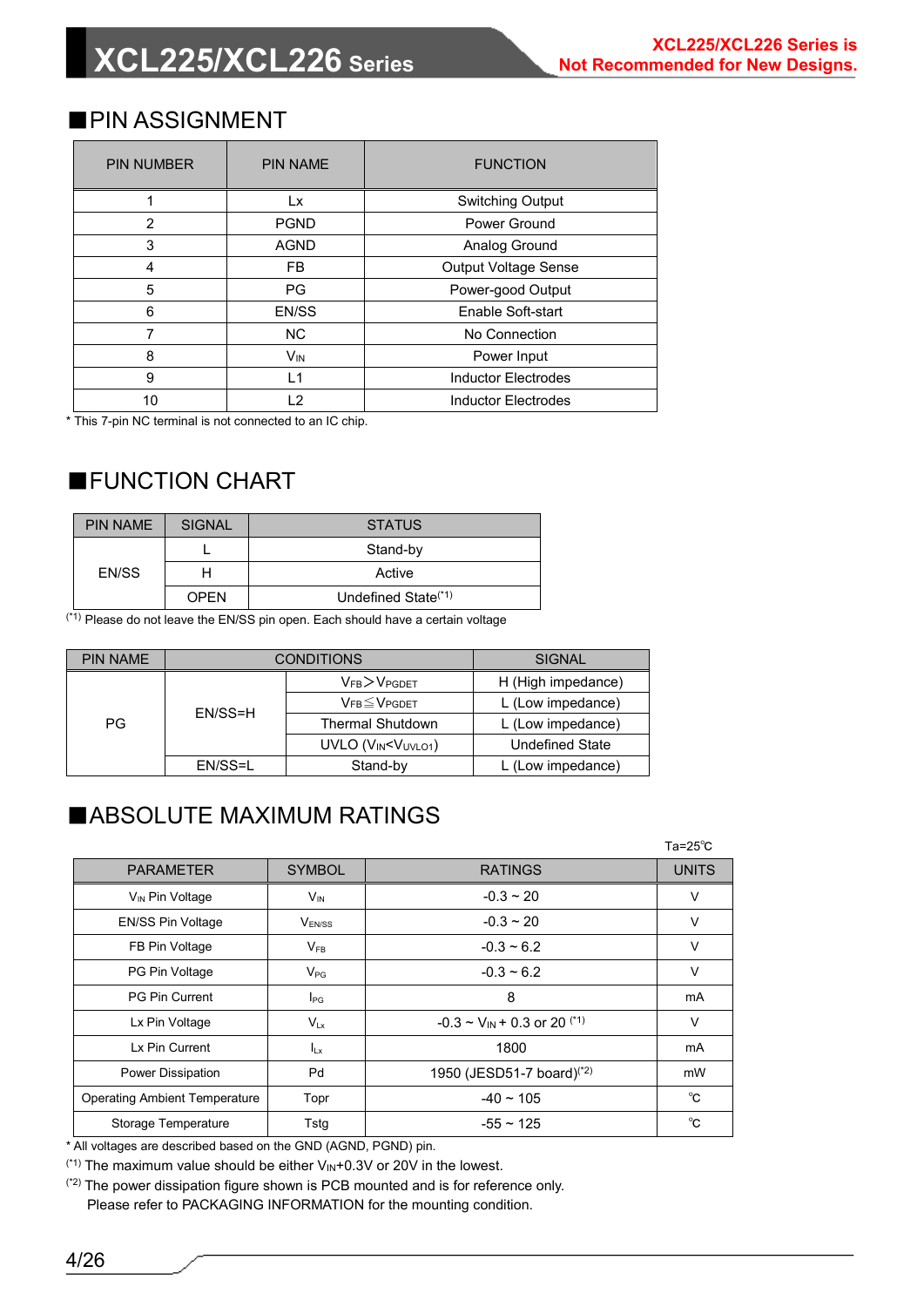### ■PIN ASSIGNMENT

| <b>PIN NUMBER</b> | <b>PIN NAME</b>       | <b>FUNCTION</b>             |  |
|-------------------|-----------------------|-----------------------------|--|
|                   | Lx                    | <b>Switching Output</b>     |  |
| 2                 | <b>PGND</b>           | Power Ground                |  |
| 3                 | <b>AGND</b>           | Analog Ground               |  |
| 4                 | <b>FB</b>             | <b>Output Voltage Sense</b> |  |
| 5                 | PG                    | Power-good Output           |  |
| 6                 | EN/SS                 | Enable Soft-start           |  |
|                   | <b>NC</b>             | No Connection               |  |
| 8                 | <b>V<sub>IN</sub></b> | Power Input                 |  |
| 9                 | $\overline{1}$        | <b>Inductor Electrodes</b>  |  |
| 10                | 12                    | <b>Inductor Electrodes</b>  |  |

\* This 7-pin NC terminal is not connected to an IC chip.

### ■FUNCTION CHART

| <b>PIN NAME</b> | SIGNAL      | <b>STATUS</b>                   |
|-----------------|-------------|---------------------------------|
|                 |             | Stand-by                        |
| EN/SS           |             | Active                          |
|                 | <b>OPEN</b> | Undefined State <sup>(*1)</sup> |

 $(1)$ <sup>(\*1)</sup> Please do not leave the EN/SS pin open. Each should have a certain voltage

| <b>PIN NAME</b> |                                                                      | <b>CONDITIONS</b>        | <b>SIGNAL</b>      |  |
|-----------------|----------------------------------------------------------------------|--------------------------|--------------------|--|
|                 |                                                                      | $V_{FB}$ $>$ $V_{PGDET}$ | H (High impedance) |  |
| EN/SS=H<br>PG   |                                                                      | $V_{FB} \leq V_{PGDET}$  | L (Low impedance)  |  |
|                 |                                                                      | <b>Thermal Shutdown</b>  | L (Low impedance)  |  |
|                 | UVLO (VIN <vuvlo1)< td=""><td><b>Undefined State</b></td></vuvlo1)<> | <b>Undefined State</b>   |                    |  |
|                 | EN/SS=L                                                              | Stand-by                 | (Low impedance)    |  |

### ■ABSOLUTE MAXIMUM RATINGS

|                                      |                 |                                                | $Ta = 25^\circ C$ |
|--------------------------------------|-----------------|------------------------------------------------|-------------------|
| <b>PARAMETER</b>                     | <b>SYMBOL</b>   | <b>RATINGS</b>                                 | <b>UNITS</b>      |
| V <sub>IN</sub> Pin Voltage          | $V_{\text{IN}}$ | $-0.3 \sim 20$                                 | $\vee$            |
| EN/SS Pin Voltage                    | $V_{FN/SS}$     | $-0.3 \sim 20$                                 | $\vee$            |
| FB Pin Voltage                       | $V_{FB}$        | $-0.3 - 6.2$                                   | $\vee$            |
| PG Pin Voltage                       | $V_{PG}$        | $-0.3 - 6.2$                                   | $\vee$            |
| <b>PG Pin Current</b>                | $I_{PG}$        | 8                                              | mA                |
| Lx Pin Voltage                       | $V_{Lx}$        | $-0.3 \sim V_{IN} + 0.3$ or 20 <sup>(*1)</sup> | $\vee$            |
| Lx Pin Current                       | $I_{Lx}$        | 1800                                           | mA                |
| Power Dissipation                    | Pd              | 1950 (JESD51-7 board) <sup>(*2)</sup>          | mW                |
| <b>Operating Ambient Temperature</b> | Topr            | $-40 \sim 105$                                 | °C                |
| <b>Storage Temperature</b>           | Tstg            | $-55 \sim 125$                                 | °C                |

\* All voltages are described based on the GND (AGND, PGND) pin.

 $(1)$ <sup>(\*1)</sup> The maximum value should be either  $V_{IN}+0.3V$  or 20V in the lowest.

(\*2) The power dissipation figure shown is PCB mounted and is for reference only.

Please refer to PACKAGING INFORMATION for the mounting condition.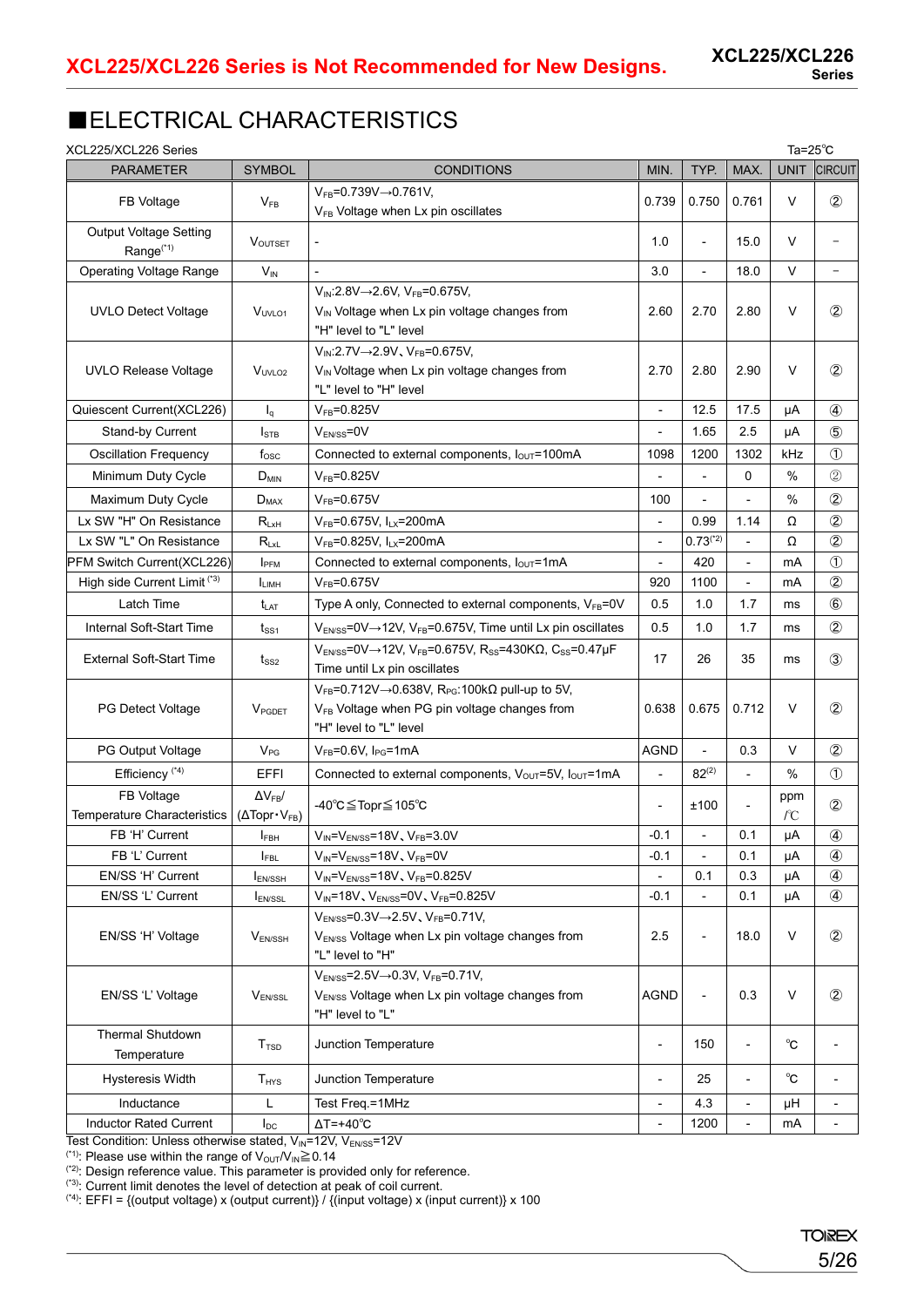### ■ELECTRICAL CHARACTERISTICS

| XCL225/XCL226 Series                                         |                                     |                                                                                                                                                                            |                          |                          |                          | Ta= $25^{\circ}$ C |                          |
|--------------------------------------------------------------|-------------------------------------|----------------------------------------------------------------------------------------------------------------------------------------------------------------------------|--------------------------|--------------------------|--------------------------|--------------------|--------------------------|
| <b>PARAMETER</b>                                             | <b>SYMBOL</b>                       | <b>CONDITIONS</b>                                                                                                                                                          | MIN.                     | TYP.                     | MAX.                     | <b>UNIT</b>        | <b>CIRCUIT</b>           |
| FB Voltage                                                   | $V_{FB}$                            | $V_{FB} = 0.739V \rightarrow 0.761V$ ,<br>V <sub>FB</sub> Voltage when Lx pin oscillates                                                                                   | 0.739                    | 0.750                    | 0.761                    | V                  | $\circled{2}$            |
| <b>Output Voltage Setting</b><br>Range <sup>(*1)</sup>       | <b>VOUTSET</b>                      | $\overline{\phantom{a}}$                                                                                                                                                   | 1.0                      | $\overline{\phantom{0}}$ | 15.0                     | V                  | $\overline{\phantom{0}}$ |
| <b>Operating Voltage Range</b>                               | $V_{IN}$                            |                                                                                                                                                                            | 3.0                      | $\overline{\phantom{0}}$ | 18.0                     | V                  | $\overline{\phantom{a}}$ |
|                                                              |                                     | $V_{IN}$ :2.8V $\rightarrow$ 2.6V, VFB=0.675V,                                                                                                                             |                          |                          |                          |                    |                          |
| <b>UVLO Detect Voltage</b>                                   | V <sub>UVLO1</sub>                  | V <sub>IN</sub> Voltage when Lx pin voltage changes from<br>"H" level to "L" level                                                                                         | 2.60                     | 2.70                     | 2.80                     | $\vee$             | $\circled{2}$            |
|                                                              |                                     | $V_{IN}$ :2.7V $\rightarrow$ 2.9V, V <sub>FB</sub> =0.675V,                                                                                                                |                          |                          |                          |                    |                          |
| <b>UVLO Release Voltage</b>                                  | V <sub>UVLO2</sub>                  | V <sub>IN</sub> Voltage when Lx pin voltage changes from                                                                                                                   | 2.70                     | 2.80                     | 2.90                     | V                  | $^{\circledR}$           |
|                                                              |                                     | "L" level to "H" level                                                                                                                                                     |                          |                          |                          |                    |                          |
| Quiescent Current(XCL226)                                    | $I_q$                               | $V_{FB} = 0.825V$                                                                                                                                                          | $\overline{\phantom{a}}$ | 12.5                     | 17.5                     | μA                 | ④                        |
| Stand-by Current                                             | $I_{\text{STB}}$                    | $V_{EN/SS} = 0V$                                                                                                                                                           | $\overline{\phantom{0}}$ | 1.65                     | 2.5                      | μA                 | $\circledS$              |
| <b>Oscillation Frequency</b>                                 | $f_{\rm osc}$                       | Connected to external components, lout=100mA                                                                                                                               | 1098                     | 1200                     | 1302                     | kHz                | $\circled{1}$            |
| Minimum Duty Cycle                                           | $D_{MIN}$                           | $V_{FB} = 0.825V$                                                                                                                                                          |                          |                          | 0                        | %                  | $^{\circledR}$           |
|                                                              |                                     |                                                                                                                                                                            |                          |                          |                          |                    |                          |
| Maximum Duty Cycle                                           | $D_{MAX}$                           | $V_{FB} = 0.675V$                                                                                                                                                          | 100                      |                          |                          | %                  | $^{\circledR}$           |
| Lx SW "H" On Resistance                                      | $R_{LxH}$                           | $V_{FB} = 0.675V, I_{LX} = 200mA$                                                                                                                                          | $\blacksquare$           | 0.99                     | 1.14                     | Ω                  | $^{\circledR}$           |
| Lx SW "L" On Resistance                                      | $R_{LxL}$                           | $V_{FB} = 0.825V$ , $I_{LX} = 200mA$                                                                                                                                       | $\blacksquare$           | $0.73$ <sup>(*2)</sup>   | $\overline{a}$           | Ω                  | $^{\circledR}$           |
| PFM Switch Current(XCL226)                                   | I <sub>PFM</sub>                    | Connected to external components, louT=1mA                                                                                                                                 | $\overline{\phantom{a}}$ | 420                      | $\blacksquare$           | mA                 | $\circled{1}$            |
| High side Current Limit (*3)                                 | <b>I</b> LIMH                       | $V_{FB} = 0.675V$                                                                                                                                                          | 920                      | 1100                     | $\overline{\phantom{a}}$ | mA                 | $^{\circledR}$           |
| Latch Time                                                   | t <sub>lat</sub>                    | Type A only, Connected to external components, VFB=0V                                                                                                                      | 0.5                      | 1.0                      | 1.7                      | ms                 | $\circledast$            |
| Internal Soft-Start Time                                     | $t_{\rm{SS1}}$                      | V <sub>EN/SS</sub> =0V→12V, V <sub>FB</sub> =0.675V, Time until Lx pin oscillates                                                                                          | 0.5                      | 1.0                      | 1.7                      | ms                 | $^{\circledR}$           |
| <b>External Soft-Start Time</b>                              | $t_{SS2}$                           | $V_{ENSS} = 0V \rightarrow 12V$ , $V_{FB} = 0.675V$ , $R_{SS} = 430K\Omega$ , $C_{SS} = 0.47\mu F$<br>Time until Lx pin oscillates                                         | 17                       | 26                       | 35                       | ms                 | $\circled{3}$            |
| <b>PG Detect Voltage</b>                                     | V <sub>PGDET</sub>                  | $V_{FB}$ =0.712V $\rightarrow$ 0.638V, R <sub>PG</sub> :100k $\Omega$ pull-up to 5V,<br>V <sub>FB</sub> Voltage when PG pin voltage changes from<br>"H" level to "L" level | 0.638                    | 0.675                    | 0.712                    | V                  | $^{\circledR}$           |
| PG Output Voltage                                            | $V_{PG}$                            | $V_{FB} = 0.6V$ , $I_{PG} = 1mA$                                                                                                                                           | <b>AGND</b>              | $\overline{a}$           | 0.3                      | V                  | $\circled{2}$            |
| Efficiency <sup>(*4)</sup>                                   | <b>EFFI</b>                         | Connected to external components, V <sub>OUT</sub> =5V, I <sub>OUT</sub> =1mA                                                                                              | $\overline{\phantom{0}}$ | $82^{(2)}$               | $\blacksquare$           | %                  | $\circled{1}$            |
| FB Voltage                                                   | $\Delta V_{FB}$ /                   |                                                                                                                                                                            |                          |                          |                          | ppm                |                          |
| Temperature Characteristics                                  | $(\Delta \text{Topr} \cdot V_{FB})$ | -40℃≦Topr≦105℃                                                                                                                                                             | $\overline{\phantom{a}}$ | ±100                     | Ĭ.                       | $\sqrt{C}$         | $^{\circledR}$           |
| FB 'H' Current                                               | <b>I</b> FBH                        | $V_{IN} = V_{EN/SS} = 18V$ , $V_{FB} = 3.0V$                                                                                                                               | $-0.1$                   | L,                       | 0.1                      | μA                 | $\circled{4}$            |
| FB 'L' Current                                               | <b>I</b> FBL                        | $V_{IN} = V_{EN/SS} = 18V, V_{FB} = 0V$                                                                                                                                    | $-0.1$                   | -                        | 0.1                      | μA                 | ④                        |
| EN/SS 'H' Current                                            | $I_{EN/SSH}$                        | $V_{IN} = V_{EN/SS} = 18V, V_{FB} = 0.825V$                                                                                                                                |                          | 0.1                      | 0.3                      | μA                 | $\circled{4}$            |
| EN/SS 'L' Current                                            | <b>IEN/SSL</b>                      | $V_{IN} = 18V, V_{EN/SS} = 0V, V_{FB} = 0.825V$                                                                                                                            | $-0.1$                   | ÷,                       | 0.1                      | μA                 | 4                        |
|                                                              |                                     | $V_{EN/SS} = 0.3V \rightarrow 2.5V$ , $V_{FB} = 0.71V$ ,                                                                                                                   |                          |                          |                          |                    |                          |
| EN/SS 'H' Voltage                                            | $V_{EN/SSH}$                        | V <sub>EN/SS</sub> Voltage when Lx pin voltage changes from<br>"L" level to "H"                                                                                            | 2.5                      | $\frac{1}{2}$            | 18.0                     | V                  | $\circled{2}$            |
|                                                              |                                     | $V_{EN/SS} = 2.5V \rightarrow 0.3V$ , $V_{FB} = 0.71V$ ,                                                                                                                   |                          |                          |                          |                    |                          |
| EN/SS 'L' Voltage                                            | $V_{EN/SSL}$                        | V <sub>EN/SS</sub> Voltage when Lx pin voltage changes from                                                                                                                | <b>AGND</b>              | $\overline{a}$           | 0.3                      | V                  | $\circled{2}$            |
|                                                              |                                     | "H" level to "L"                                                                                                                                                           |                          |                          |                          |                    |                          |
| <b>Thermal Shutdown</b><br>Temperature                       | T <sub>TSD</sub>                    | Junction Temperature                                                                                                                                                       | $\overline{\phantom{a}}$ | 150                      | $\overline{\phantom{a}}$ | $^{\circ}$ C       | $\overline{\phantom{a}}$ |
| <b>Hysteresis Width</b>                                      | $T_{HYS}$                           | Junction Temperature                                                                                                                                                       | $\overline{\phantom{a}}$ | 25                       | $\overline{\phantom{a}}$ | $^{\circ}$ C       | $\blacksquare$           |
| Inductance                                                   | L                                   | Test Freq.=1MHz                                                                                                                                                            |                          | 4.3                      | $\overline{\phantom{a}}$ | μH                 | $\overline{\phantom{a}}$ |
| <b>Inductor Rated Current</b>                                | $I_{DC}$                            | $\Delta T = +40^{\circ}C$                                                                                                                                                  |                          | 1200                     | $\overline{\phantom{a}}$ | mA                 | $\overline{\phantom{a}}$ |
| Test Condition: Unless otherwise stated, VIN=12V, VEN/SS=12V |                                     |                                                                                                                                                                            |                          |                          |                          |                    |                          |

(\*1): Please use within the range of  $V_{\text{OUT}}/V_{\text{IN}}\geq 0.14$ 

(\*2): Design reference value. This parameter is provided only for reference.

(\*3): Current limit denotes the level of detection at peak of coil current.

(\*4): EFFI = {(output voltage) x (output current)} / {(input voltage) x (input current)} x 100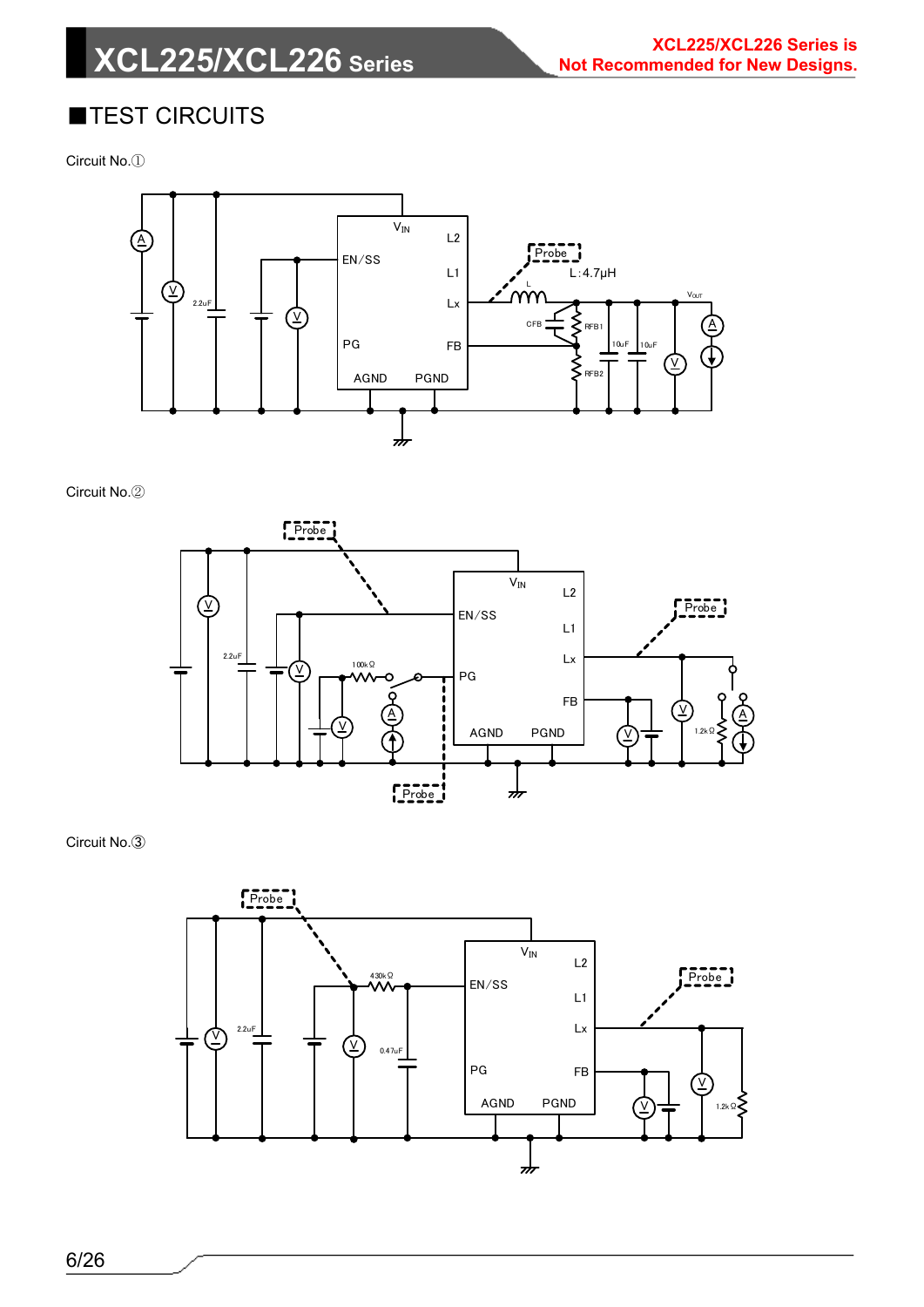# **XCL225/XCL226 Series**

### ■TEST CIRCUITS

Circuit No.①



Circuit No.②



Circuit No.③

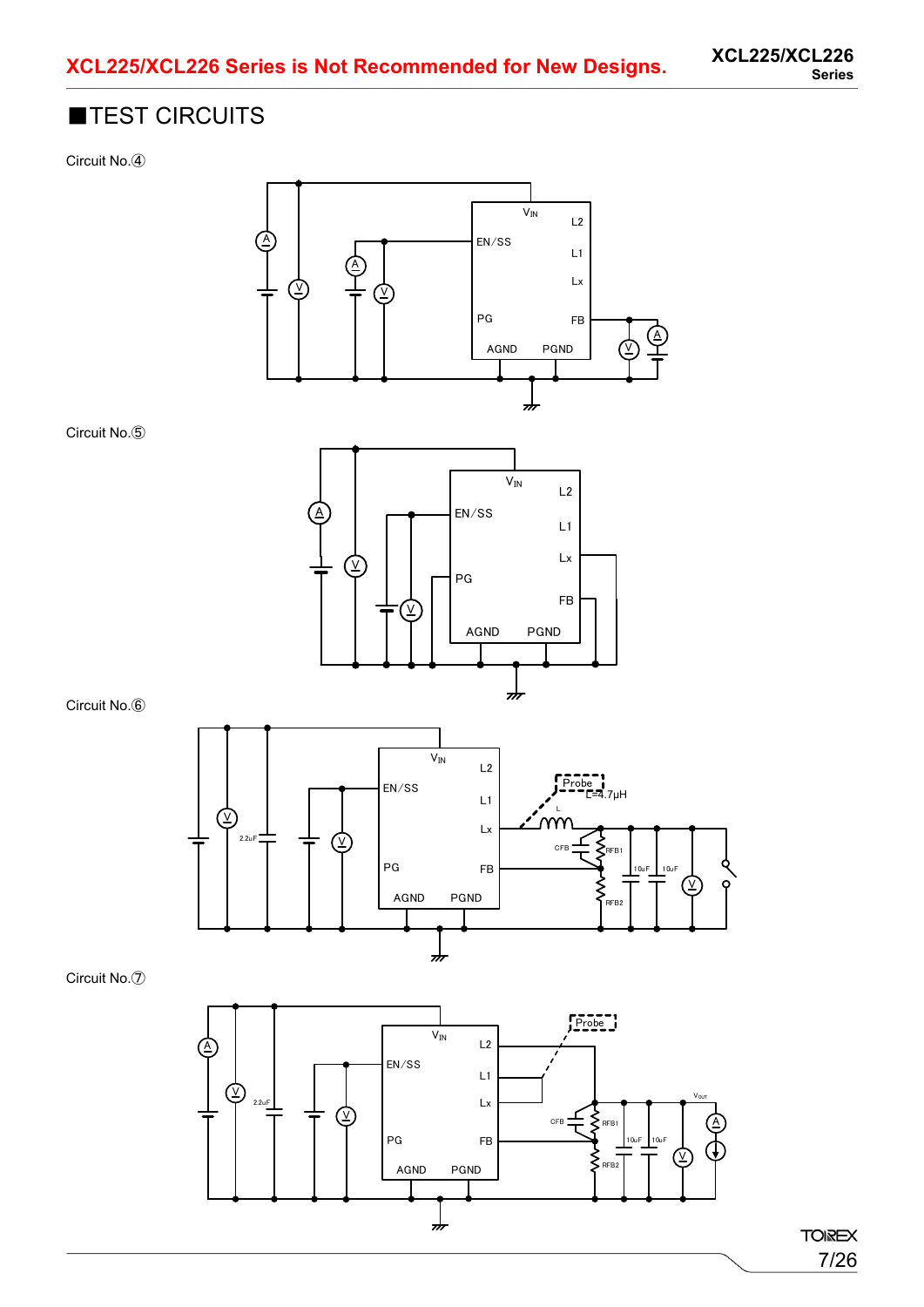### ■TEST CIRCUITS

Circuit No.④



Circuit No.⑥

Circuit No.⑤



Circuit No.⑦

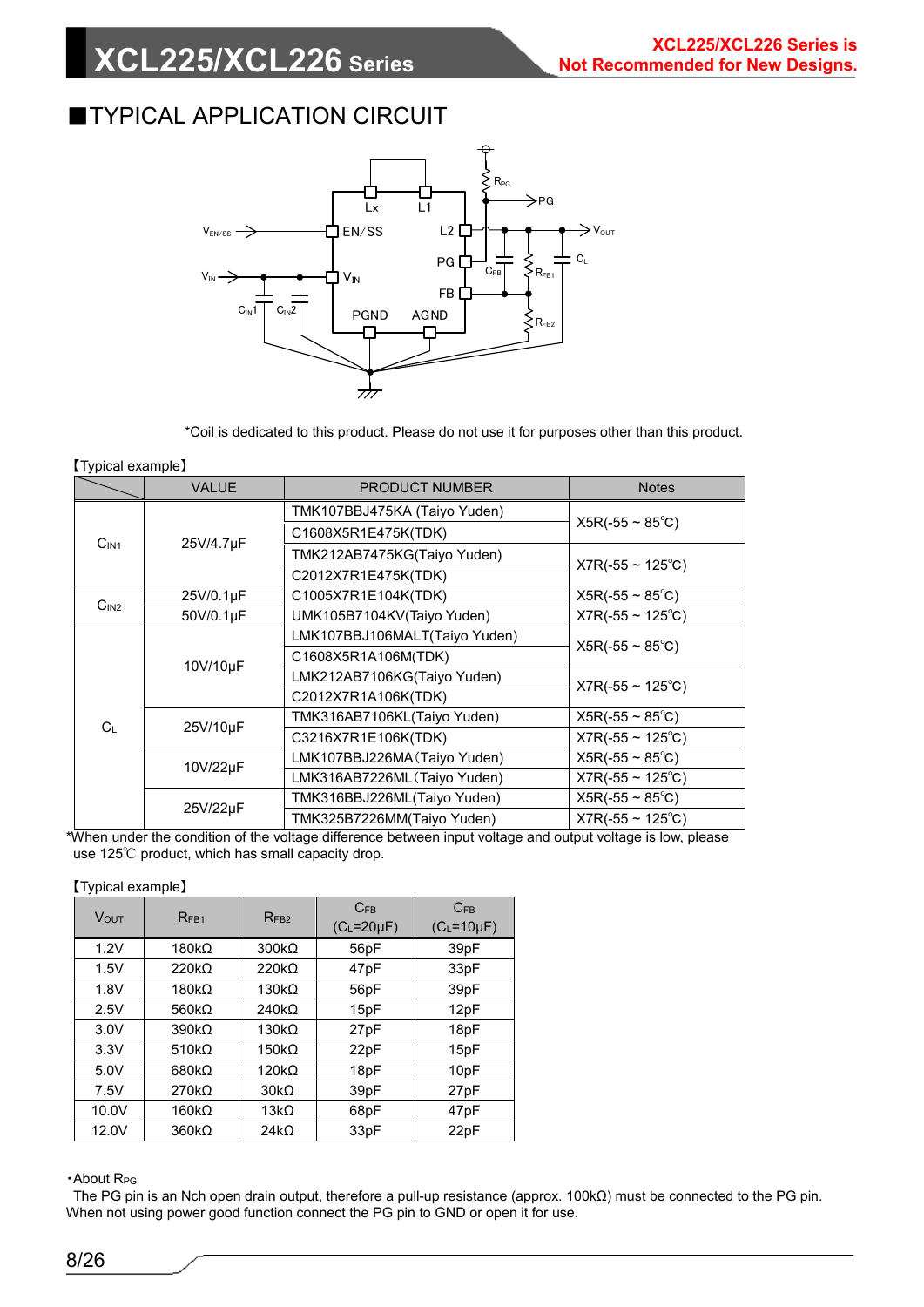### **TYPICAL APPLICATION CIRCUIT**



\*Coil is dedicated to this product. Please do not use it for purposes other than this product.

#### 【Typical example】

|                  | <b>VALUE</b> | <b>PRODUCT NUMBER</b>         | <b>Notes</b>                 |
|------------------|--------------|-------------------------------|------------------------------|
|                  |              | TMK107BBJ475KA (Taiyo Yuden)  |                              |
|                  |              | C1608X5R1E475K(TDK)           | $X5R(-55 \sim 85^{\circ}C)$  |
| C <sub>IN1</sub> | 25V/4.7µF    | TMK212AB7475KG(Taiyo Yuden)   |                              |
|                  |              | C2012X7R1E475K(TDK)           | $X7R(-55 \sim 125^{\circ}C)$ |
|                  | 25V/0.1µF    | C1005X7R1E104K(TDK)           | $X5R(-55 \sim 85^{\circ}C)$  |
| C <sub>IN2</sub> | 50V/0.1µF    | UMK105B7104KV(Taiyo Yuden)    | $X7R(-55 \sim 125^{\circ}C)$ |
|                  |              | LMK107BBJ106MALT(Taiyo Yuden) | $X5R(-55 \sim 85^{\circ}C)$  |
|                  | 10V/10µF     | C1608X5R1A106M(TDK)           |                              |
|                  |              | LMK212AB7106KG(Taiyo Yuden)   | $X7R(-55 \sim 125^{\circ}C)$ |
|                  |              | C2012X7R1A106K(TDK)           |                              |
| C∟               | 25V/10µF     | TMK316AB7106KL(Taiyo Yuden)   | $X5R(-55 \sim 85^{\circ}C)$  |
|                  |              | C3216X7R1E106K(TDK)           | $X7R(-55 \sim 125^{\circ}C)$ |
|                  | 10V/22µF     | LMK107BBJ226MA (Taiyo Yuden)  | $X5R(-55 \sim 85^{\circ}C)$  |
|                  |              | LMK316AB7226ML (Taiyo Yuden)  | $X7R(-55 \sim 125^{\circ}C)$ |
|                  |              | TMK316BBJ226ML(Taiyo Yuden)   | $X5R(-55 \sim 85^{\circ}C)$  |
| 25V/22µF         |              | TMK325B7226MM(Taiyo Yuden)    | $X7R(-55 \sim 125^{\circ}C)$ |

\*When under the condition of the voltage difference between input voltage and output voltage is low, please use 125℃ product, which has small capacity drop.

【Typical example】

| <b>VOUT</b> | RF <sub>B1</sub>  | RFB2         | $C_{FB}$<br>$(C_L = 20 \mu F)$ | $C_{FB}$<br>$(C_L = 10 \mu F)$ |
|-------------|-------------------|--------------|--------------------------------|--------------------------------|
| 1.2V        | $180k\Omega$      | $300k\Omega$ | 56pF                           | 39pF                           |
| 1.5V        | $220k\Omega$      | $220k\Omega$ | 47pF                           | 33pF                           |
| 1.8V        | $180k\Omega$      | $130k\Omega$ | 56pF                           | 39pF                           |
| 2.5V        | 560 $k\Omega$     | $240k\Omega$ | 15pF                           | 12pF                           |
| 3.0V        | $390k\Omega$      | $130k\Omega$ | 27pF                           | 18pF                           |
| 3.3V        | 510k <sub>2</sub> | $150k\Omega$ | 22pF                           | 15pF                           |
| 5.0V        | $680k\Omega$      | $120k\Omega$ | 18pF                           | 10pF                           |
| 7.5V        | $270k\Omega$      | $30k\Omega$  | 39pF                           | 27pF                           |
| 10.0V       | $160k\Omega$      | 13 $k\Omega$ | 68pF                           | 47pF                           |
| 12.0V       | $360k\Omega$      | $24k\Omega$  | 33pF                           | 22pF                           |

・About RPG

The PG pin is an Nch open drain output, therefore a pull-up resistance (approx. 100kΩ) must be connected to the PG pin. When not using power good function connect the PG pin to GND or open it for use.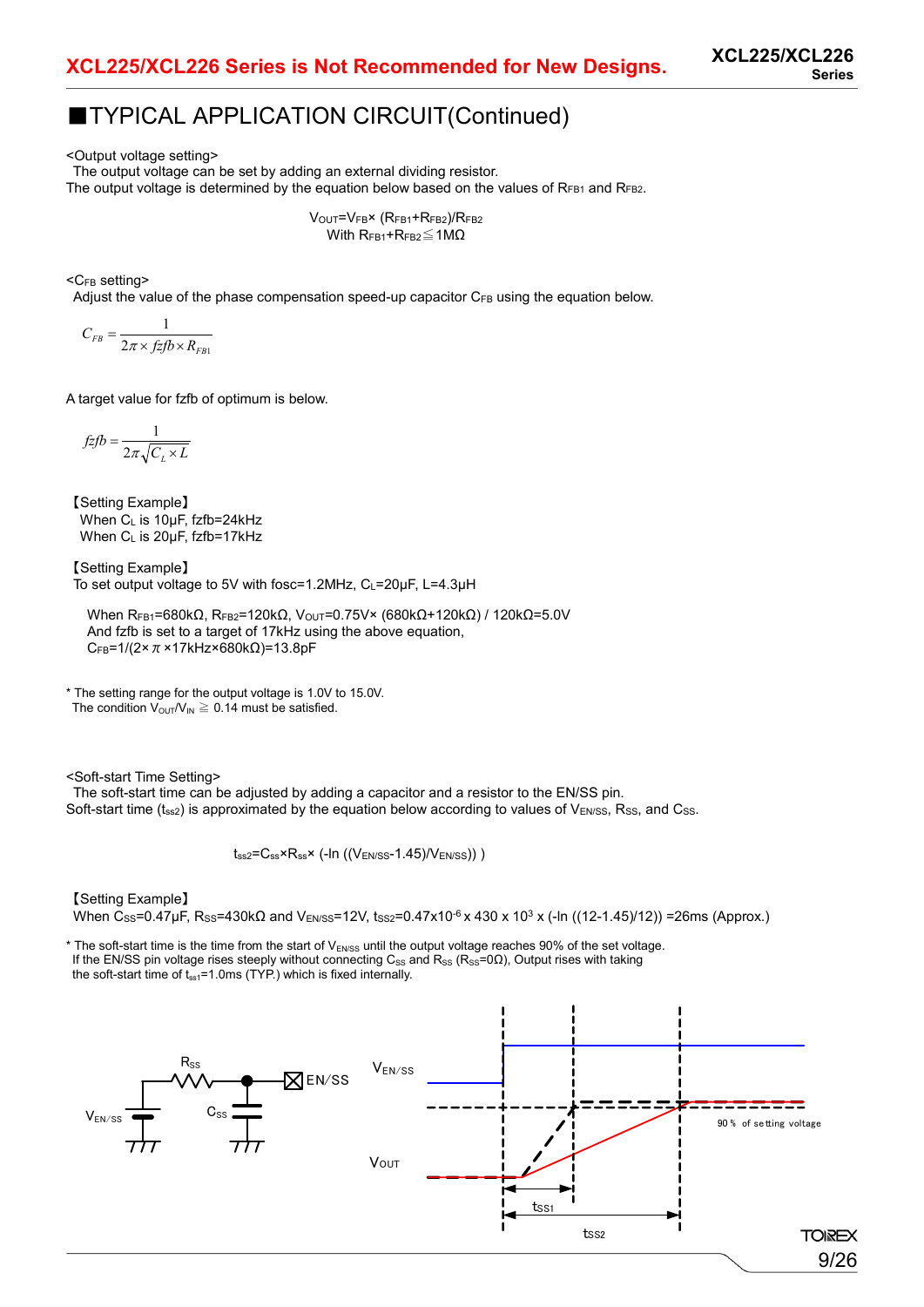### ■TYPICAL APPLICATION CIRCUIT(Continued)

<Output voltage setting>

The output voltage can be set by adding an external dividing resistor.

The output voltage is determined by the equation below based on the values of  $R_{FB1}$  and  $R_{FB2}$ .

VOUT=VFB× (RFB1+RFB2)/RFB2 With  $R_{FB1}$ + $R_{FB2}$  ≤ 1MΩ

<CFB setting>

Adjust the value of the phase compensation speed-up capacitor CFB using the equation below.

$$
C_{FB} = \frac{1}{2\pi \times f z f b \times R_{FB1}}
$$

A target value for fzfb of optimum is below.

$$
f\overline{z}fb = \frac{1}{2\pi\sqrt{C_L \times L}}
$$

【Setting Example】 When CL is 10μF, fzfb=24kHz When CL is 20μF, fzfb=17kHz

【Setting Example】 To set output voltage to 5V with fosc=1.2MHz, CL=20μF, L=4.3μH

When RFB1=680kΩ, RFB2=120kΩ, VouT=0.75V× (680kΩ+120kΩ) / 120kΩ=5.0V And fzfb is set to a target of 17kHz using the above equation, CFB=1/(2×π×17kHz×680kΩ)=13.8pF

\* The setting range for the output voltage is 1.0V to 15.0V. The condition  $V_{\text{OUT}}/V_{\text{IN}} \geq 0.14$  must be satisfied.

<Soft-start Time Setting>

The soft-start time can be adjusted by adding a capacitor and a resistor to the EN/SS pin. Soft-start time  $(t_{ss2})$  is approximated by the equation below according to values of V<sub>EN/SS</sub>, Rss, and Css.

 $t_{ss2}=C_{ss} \times R_{ss} \times$  (-In ((VEN/SS-1.45)/VEN/SS)))

【Setting Example】

When Css=0.47μF, Rss=430kΩ and V<sub>EN/SS</sub>=12V, tss<sub>2</sub>=0.47x10<sup>-6</sup> x 430 x 10<sup>3</sup> x (-ln ((12-1.45)/12)) =26ms (Approx.)

\* The soft-start time is the time from the start of V<sub>EN/SS</sub> until the output voltage reaches 90% of the set voltage. If the EN/SS pin voltage rises steeply without connecting C<sub>SS</sub> and R<sub>SS</sub> (R<sub>SS</sub>=0 $\Omega$ ), Output rises with taking the soft-start time of  $t_{ss1}=1.0$ ms (TYP.) which is fixed internally.

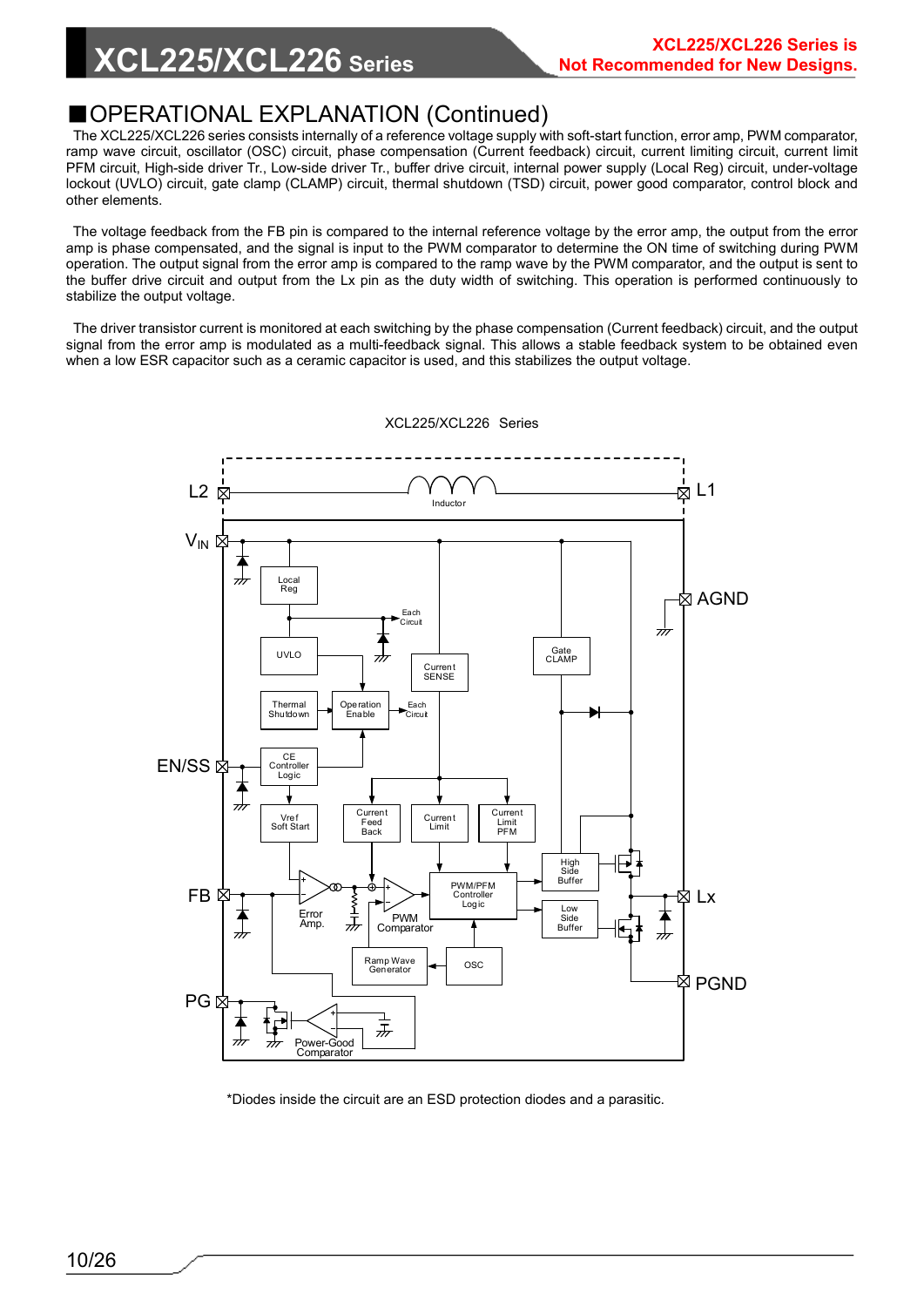### ■OPERATIONAL EXPLANATION (Continued)

The XCL225/XCL226 series consists internally of a reference voltage supply with soft-start function, error amp, PWM comparator, ramp wave circuit, oscillator (OSC) circuit, phase compensation (Current feedback) circuit, current limiting circuit, current limit PFM circuit, High-side driver Tr., Low-side driver Tr., buffer drive circuit, internal power supply (Local Reg) circuit, under-voltage lockout (UVLO) circuit, gate clamp (CLAMP) circuit, thermal shutdown (TSD) circuit, power good comparator, control block and other elements.

The voltage feedback from the FB pin is compared to the internal reference voltage by the error amp, the output from the error amp is phase compensated, and the signal is input to the PWM comparator to determine the ON time of switching during PWM operation. The output signal from the error amp is compared to the ramp wave by the PWM comparator, and the output is sent to the buffer drive circuit and output from the Lx pin as the duty width of switching. This operation is performed continuously to stabilize the output voltage.

The driver transistor current is monitored at each switching by the phase compensation (Current feedback) circuit, and the output signal from the error amp is modulated as a multi-feedback signal. This allows a stable feedback system to be obtained even when a low ESR capacitor such as a ceramic capacitor is used, and this stabilizes the output voltage.



XCL225/XCL226 Series

\*Diodes inside the circuit are an ESD protection diodes and a parasitic.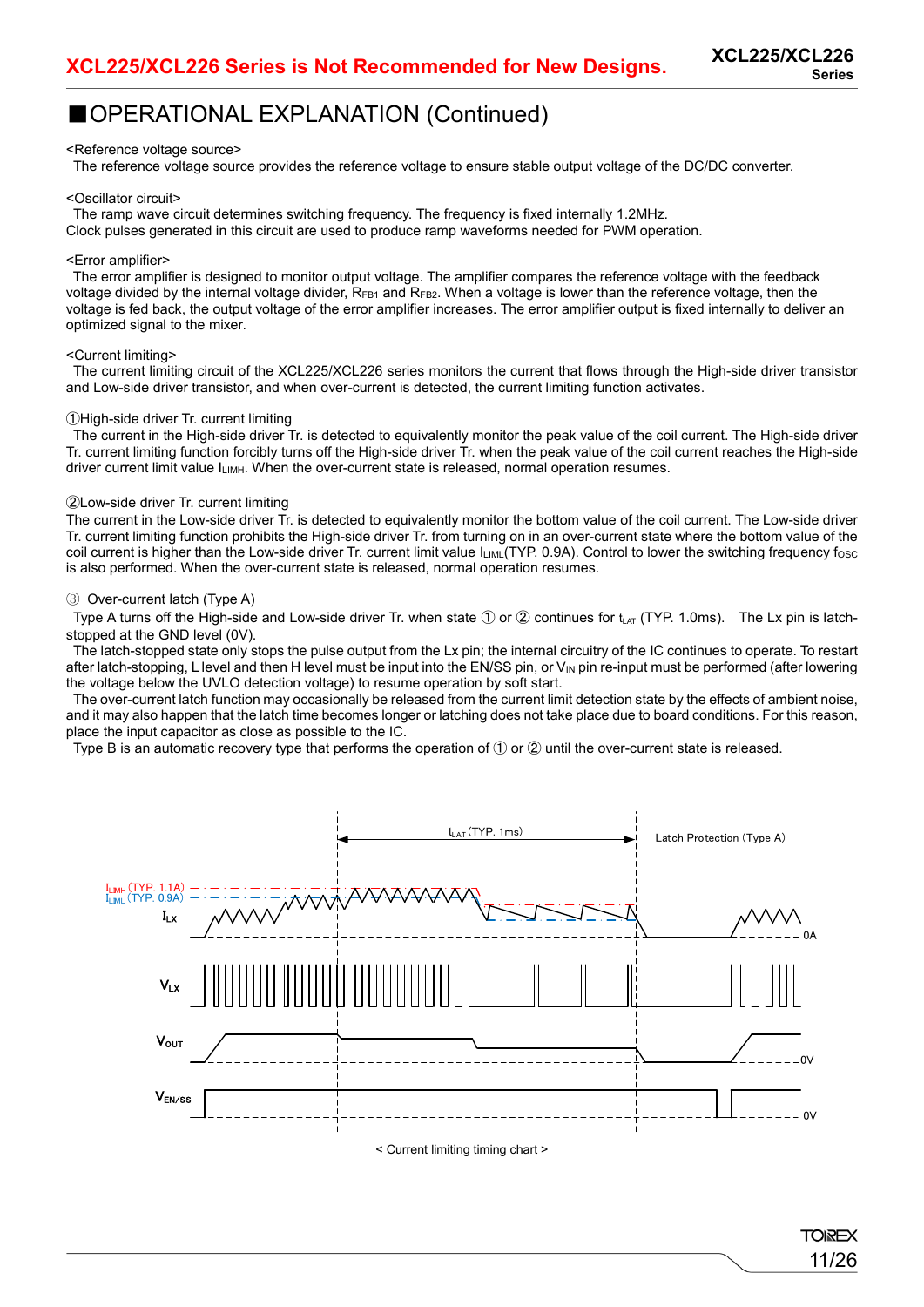### ■OPERATIONAL EXPLANATION (Continued)

#### <Reference voltage source>

The reference voltage source provides the reference voltage to ensure stable output voltage of the DC/DC converter.

#### <Oscillator circuit>

The ramp wave circuit determines switching frequency. The frequency is fixed internally 1.2MHz.

Clock pulses generated in this circuit are used to produce ramp waveforms needed for PWM operation.

#### <Error amplifier>

The error amplifier is designed to monitor output voltage. The amplifier compares the reference voltage with the feedback voltage divided by the internal voltage divider,  $R_{FB1}$  and  $R_{FB2}$ . When a voltage is lower than the reference voltage, then the voltage is fed back, the output voltage of the error amplifier increases. The error amplifier output is fixed internally to deliver an optimized signal to the mixer.

#### <Current limiting>

The current limiting circuit of the XCL225/XCL226 series monitors the current that flows through the High-side driver transistor and Low-side driver transistor, and when over-current is detected, the current limiting function activates.

#### ①High-side driver Tr. current limiting

The current in the High-side driver Tr. is detected to equivalently monitor the peak value of the coil current. The High-side driver Tr. current limiting function forcibly turns off the High-side driver Tr. when the peak value of the coil current reaches the High-side driver current limit value ILIMH. When the over-current state is released, normal operation resumes.

#### ②Low-side driver Tr. current limiting

The current in the Low-side driver Tr. is detected to equivalently monitor the bottom value of the coil current. The Low-side driver Tr. current limiting function prohibits the High-side driver Tr. from turning on in an over-current state where the bottom value of the coil current is higher than the Low-side driver Tr. current limit value ILIML(TYP. 0.9A). Control to lower the switching frequency fosc is also performed. When the over-current state is released, normal operation resumes.

#### ③ Over-current latch (Type A)

Type A turns off the High-side and Low-side driver Tr. when state  $\mathbb D$  or  $\mathbb Q$  continues for t<sub>LAT</sub> (TYP. 1.0ms). The Lx pin is latchstopped at the GND level (0V).

The latch-stopped state only stops the pulse output from the Lx pin; the internal circuitry of the IC continues to operate. To restart after latch-stopping, L level and then H level must be input into the EN/SS pin, or  $V_{\text{IN}}$  pin re-input must be performed (after lowering the voltage below the UVLO detection voltage) to resume operation by soft start.

The over-current latch function may occasionally be released from the current limit detection state by the effects of ambient noise, and it may also happen that the latch time becomes longer or latching does not take place due to board conditions. For this reason, place the input capacitor as close as possible to the IC.

Type B is an automatic recovery type that performs the operation of ① or ② until the over-current state is released.



< Current limiting timing chart >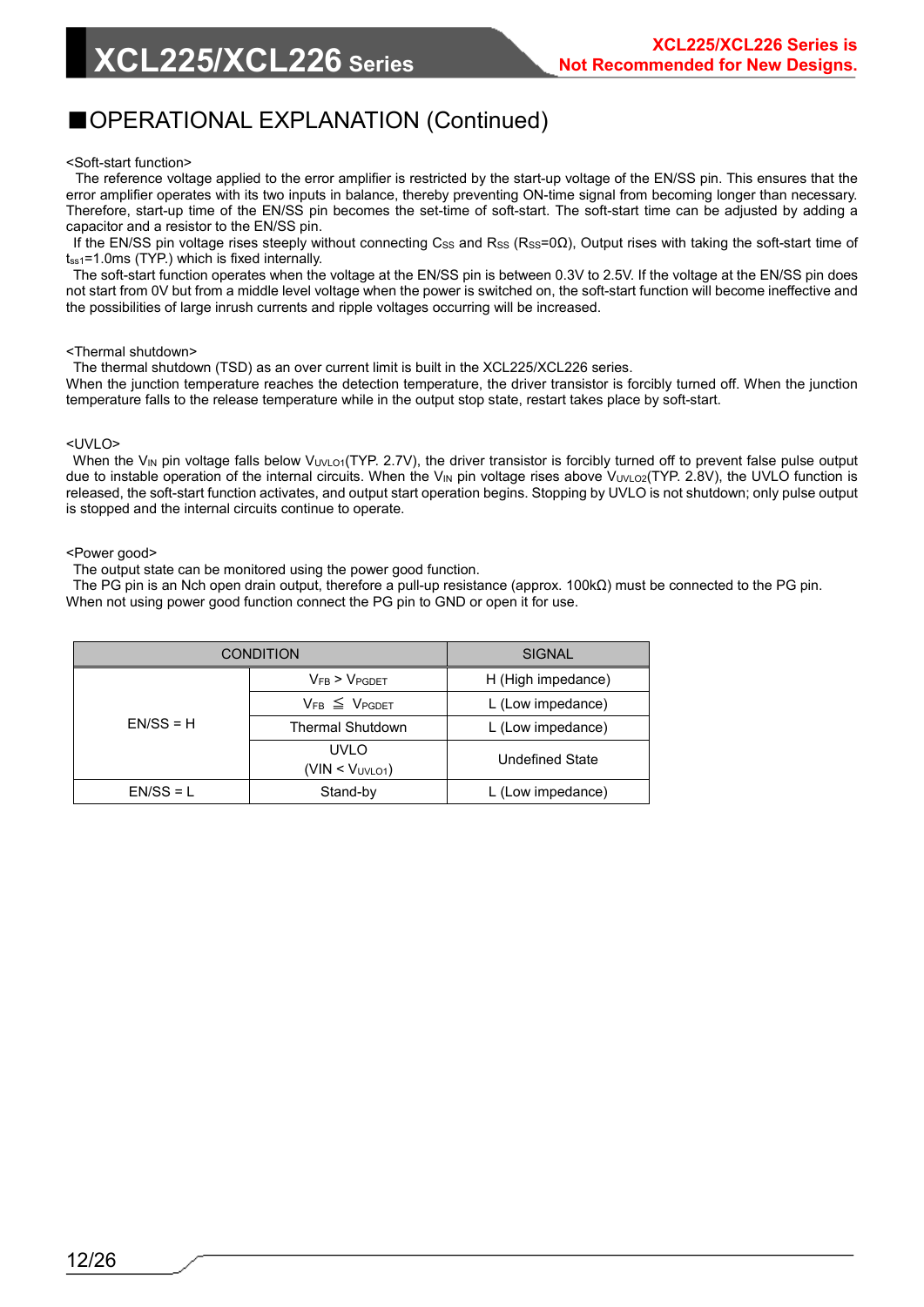### ■OPERATIONAL EXPLANATION (Continued)

#### <Soft-start function>

The reference voltage applied to the error amplifier is restricted by the start-up voltage of the EN/SS pin. This ensures that the error amplifier operates with its two inputs in balance, thereby preventing ON-time signal from becoming longer than necessary. Therefore, start-up time of the EN/SS pin becomes the set-time of soft-start. The soft-start time can be adjusted by adding a capacitor and a resistor to the EN/SS pin.

If the EN/SS pin voltage rises steeply without connecting Css and Rss (Rss=0 $\Omega$ ), Output rises with taking the soft-start time of  $t_{ss1}$ =1.0ms (TYP.) which is fixed internally.

The soft-start function operates when the voltage at the EN/SS pin is between 0.3V to 2.5V. If the voltage at the EN/SS pin does not start from 0V but from a middle level voltage when the power is switched on, the soft-start function will become ineffective and the possibilities of large inrush currents and ripple voltages occurring will be increased.

#### <Thermal shutdown>

The thermal shutdown (TSD) as an over current limit is built in the XCL225/XCL226 series.

When the junction temperature reaches the detection temperature, the driver transistor is forcibly turned off. When the junction temperature falls to the release temperature while in the output stop state, restart takes place by soft-start.

#### <UVLO>

When the V<sub>IN</sub> pin voltage falls below V<sub>UVLO1</sub>(TYP. 2.7V), the driver transistor is forcibly turned off to prevent false pulse output due to instable operation of the internal circuits. When the V<sub>IN</sub> pin voltage rises above V<sub>UVLO2</sub>(TYP. 2.8V), the UVLO function is released, the soft-start function activates, and output start operation begins. Stopping by UVLO is not shutdown; only pulse output is stopped and the internal circuits continue to operate.

#### <Power good>

The output state can be monitored using the power good function.

The PG pin is an Nch open drain output, therefore a pull-up resistance (approx. 100kΩ) must be connected to the PG pin. When not using power good function connect the PG pin to GND or open it for use.

|             | <b>CONDITION</b>            | <b>SIGNAL</b>          |
|-------------|-----------------------------|------------------------|
|             | VFB > VpGDET                | H (High impedance)     |
|             | $V_{FB} \leq V_{PGDET}$     | L (Low impedance)      |
| $EN/SS = H$ | <b>Thermal Shutdown</b>     | L (Low impedance)      |
|             | <b>UVLO</b>                 | <b>Undefined State</b> |
|             | (VIN < V <sub>UVLO1</sub> ) |                        |
| $EN/SS = L$ | Stand-by                    | L (Low impedance)      |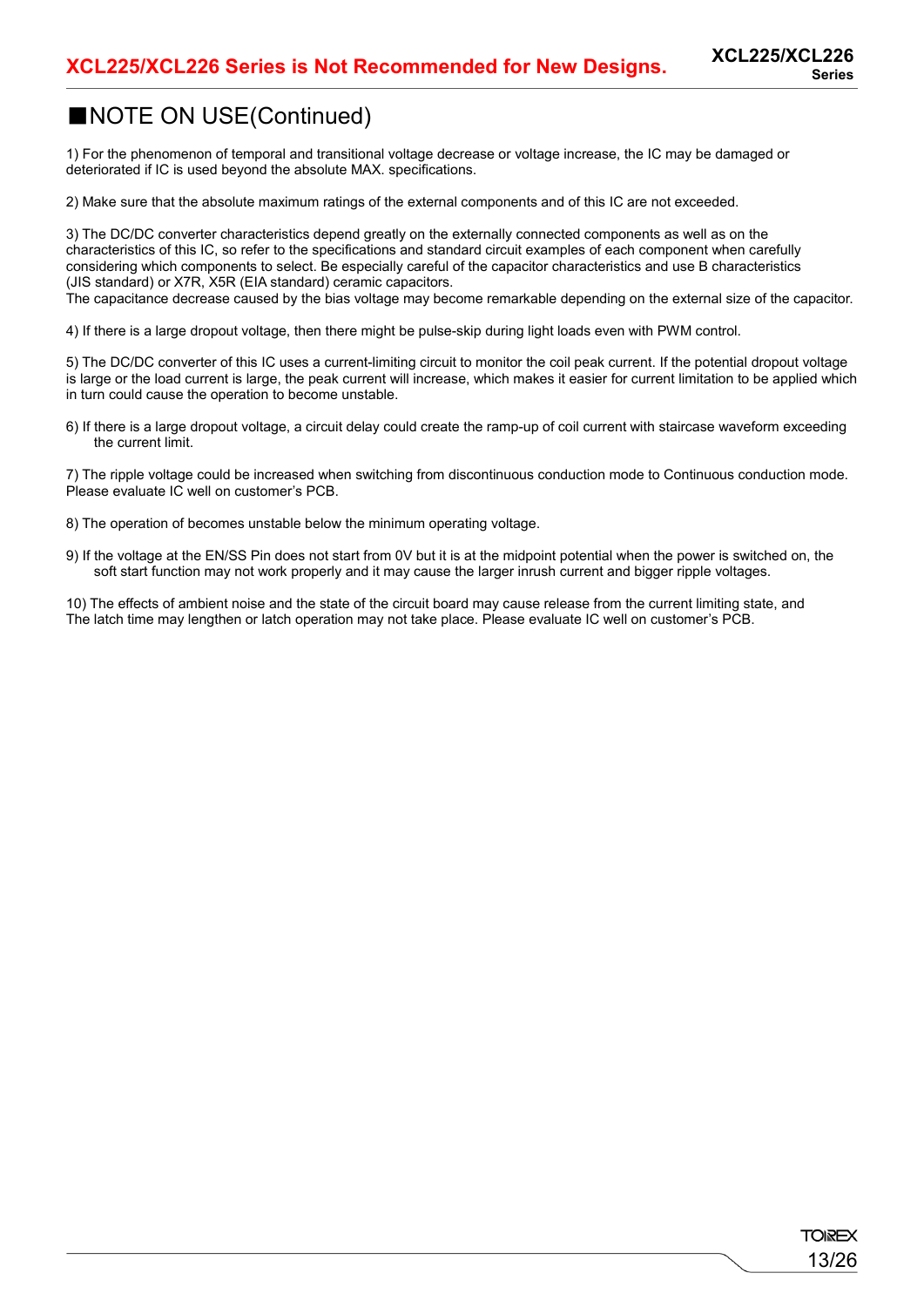13/26

**TOREX** 

### ■NOTE ON USE(Continued)

1) For the phenomenon of temporal and transitional voltage decrease or voltage increase, the IC may be damaged or deteriorated if IC is used beyond the absolute MAX. specifications.

2) Make sure that the absolute maximum ratings of the external components and of this IC are not exceeded.

3) The DC/DC converter characteristics depend greatly on the externally connected components as well as on the characteristics of this IC, so refer to the specifications and standard circuit examples of each component when carefully considering which components to select. Be especially careful of the capacitor characteristics and use B characteristics (JIS standard) or X7R, X5R (EIA standard) ceramic capacitors.

The capacitance decrease caused by the bias voltage may become remarkable depending on the external size of the capacitor.

4) If there is a large dropout voltage, then there might be pulse-skip during light loads even with PWM control.

5) The DC/DC converter of this IC uses a current-limiting circuit to monitor the coil peak current. If the potential dropout voltage is large or the load current is large, the peak current will increase, which makes it easier for current limitation to be applied which in turn could cause the operation to become unstable.

6) If there is a large dropout voltage, a circuit delay could create the ramp-up of coil current with staircase waveform exceeding the current limit.

7) The ripple voltage could be increased when switching from discontinuous conduction mode to Continuous conduction mode. Please evaluate IC well on customer's PCB.

- 8) The operation of becomes unstable below the minimum operating voltage.
- 9) If the voltage at the EN/SS Pin does not start from 0V but it is at the midpoint potential when the power is switched on, the soft start function may not work properly and it may cause the larger inrush current and bigger ripple voltages.

10) The effects of ambient noise and the state of the circuit board may cause release from the current limiting state, and The latch time may lengthen or latch operation may not take place. Please evaluate IC well on customer's PCB.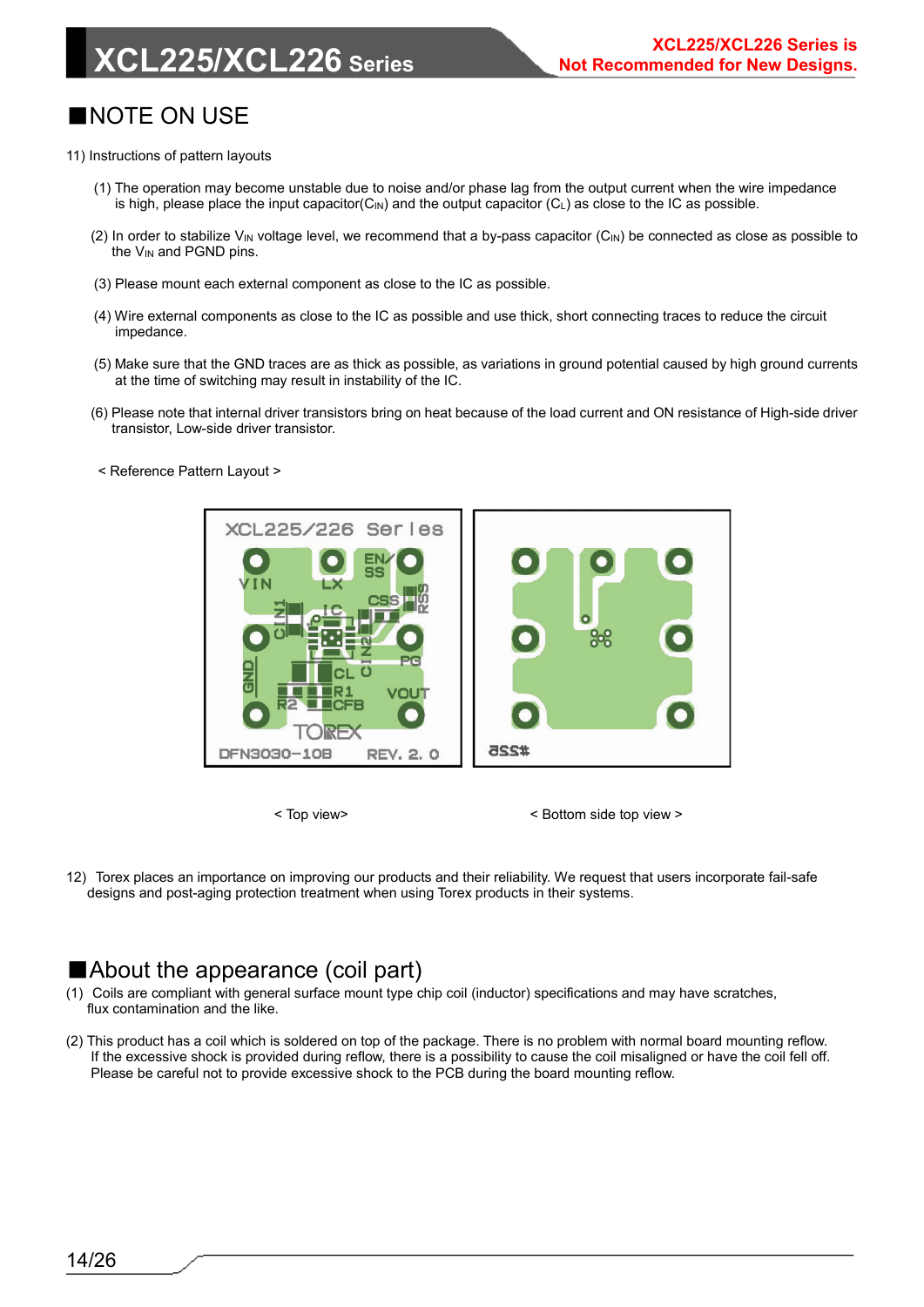## **XCL225/XCL226 Series**

### ■NOTE ON USE

- 11) Instructions of pattern layouts
	- (1) The operation may become unstable due to noise and/or phase lag from the output current when the wire impedance is high, please place the input capacitor( $C_{\text{IN}}$ ) and the output capacitor ( $C_{\text{L}}$ ) as close to the IC as possible.
	- (2) In order to stabilize V<sub>IN</sub> voltage level, we recommend that a by-pass capacitor (C<sub>IN</sub>) be connected as close as possible to the  $V_{IN}$  and PGND pins.
	- (3) Please mount each external component as close to the IC as possible.
	- (4) Wire external components as close to the IC as possible and use thick, short connecting traces to reduce the circuit impedance.
	- (5) Make sure that the GND traces are as thick as possible, as variations in ground potential caused by high ground currents at the time of switching may result in instability of the IC.
	- (6) Please note that internal driver transistors bring on heat because of the load current and ON resistance of High-side driver transistor, Low-side driver transistor.
	- < Reference Pattern Layout >



< Top view> < Bottom side top view >

12) Torex places an importance on improving our products and their reliability. We request that users incorporate fail-safe designs and post-aging protection treatment when using Torex products in their systems.

### ■About the appearance (coil part)

- (1) Coils are compliant with general surface mount type chip coil (inductor) specifications and may have scratches, flux contamination and the like.
- (2) This product has a coil which is soldered on top of the package. There is no problem with normal board mounting reflow. If the excessive shock is provided during reflow, there is a possibility to cause the coil misaligned or have the coil fell off. Please be careful not to provide excessive shock to the PCB during the board mounting reflow.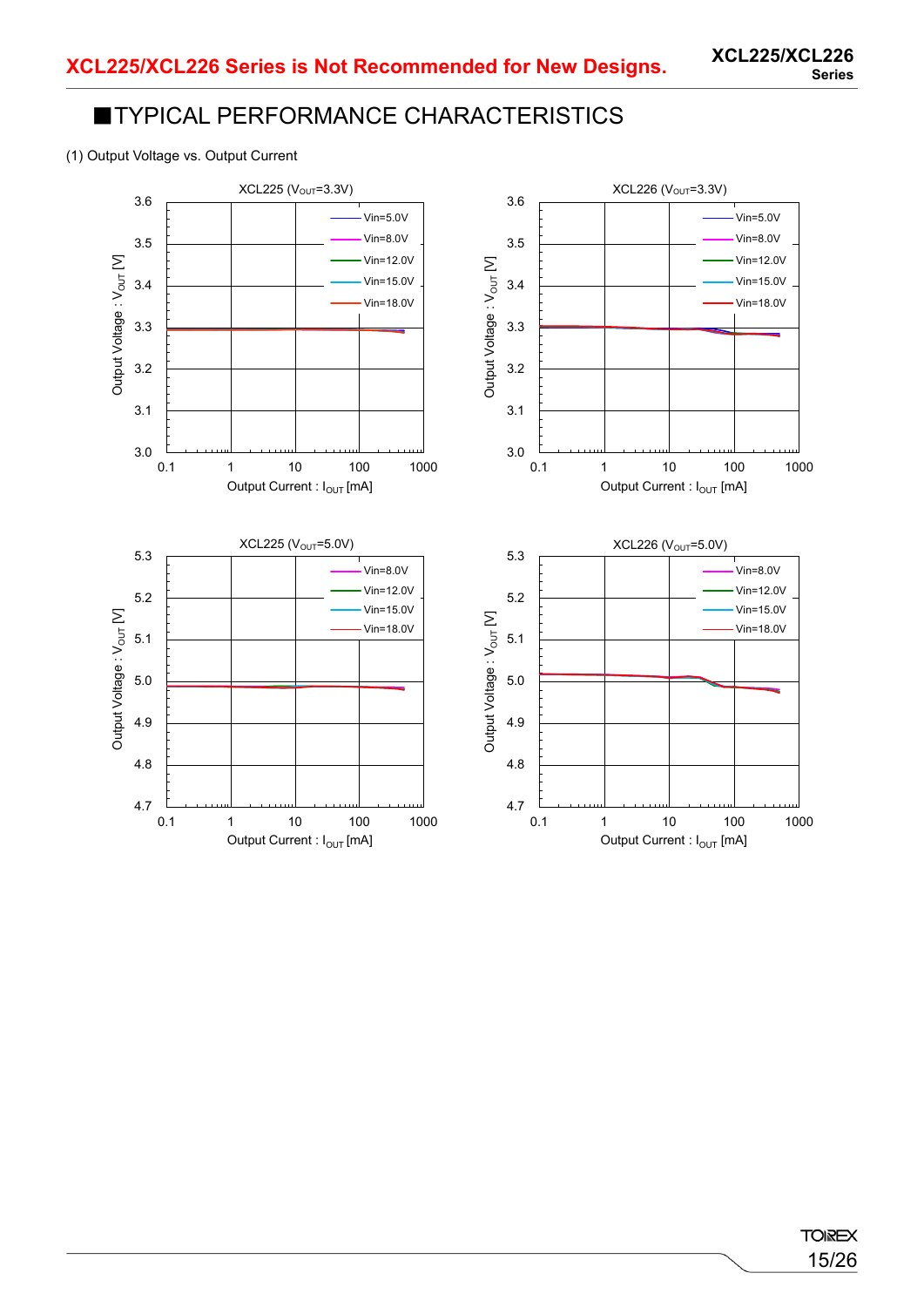#### (1) Output Voltage vs. Output Current

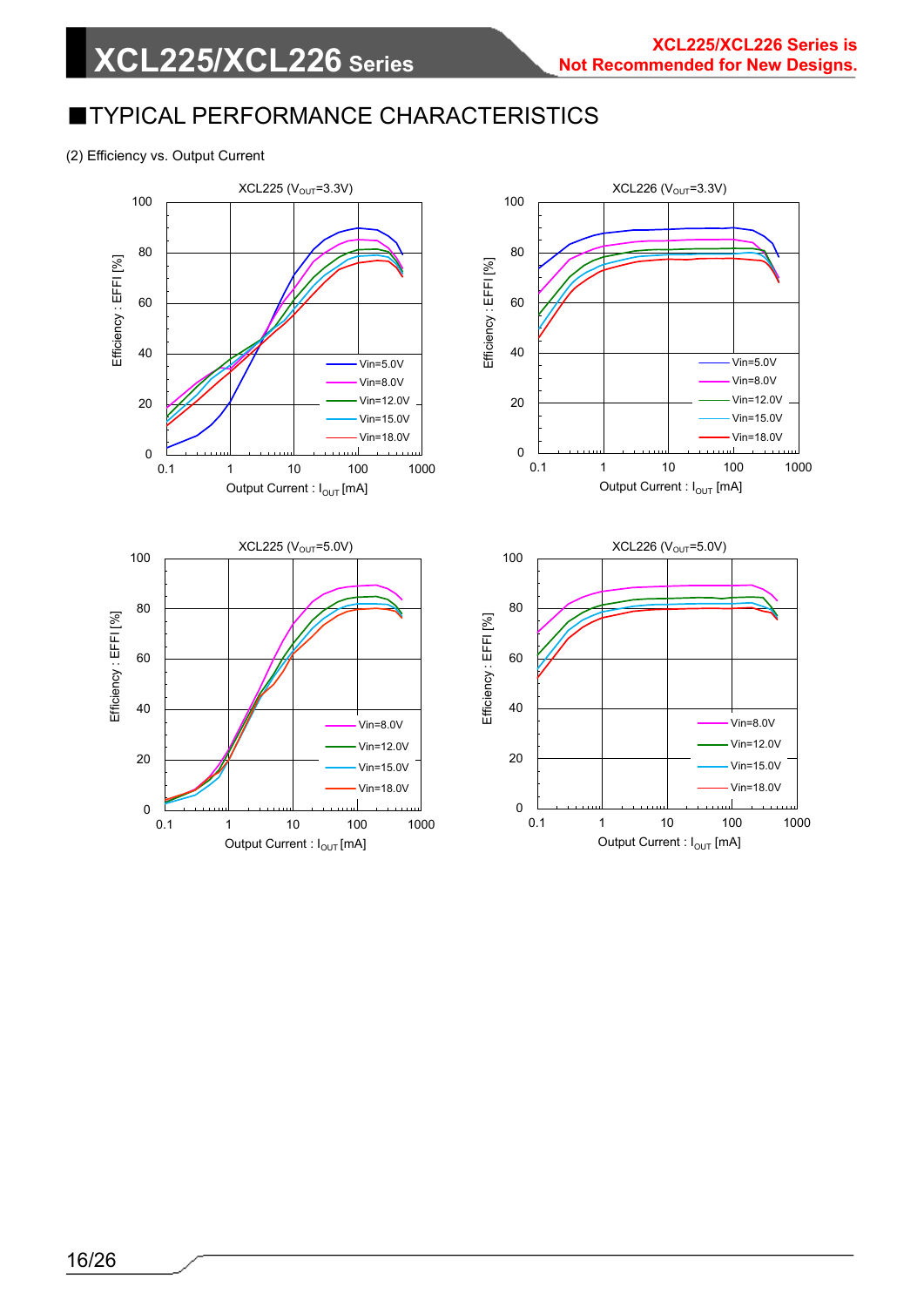(2) Efficiency vs. Output Current

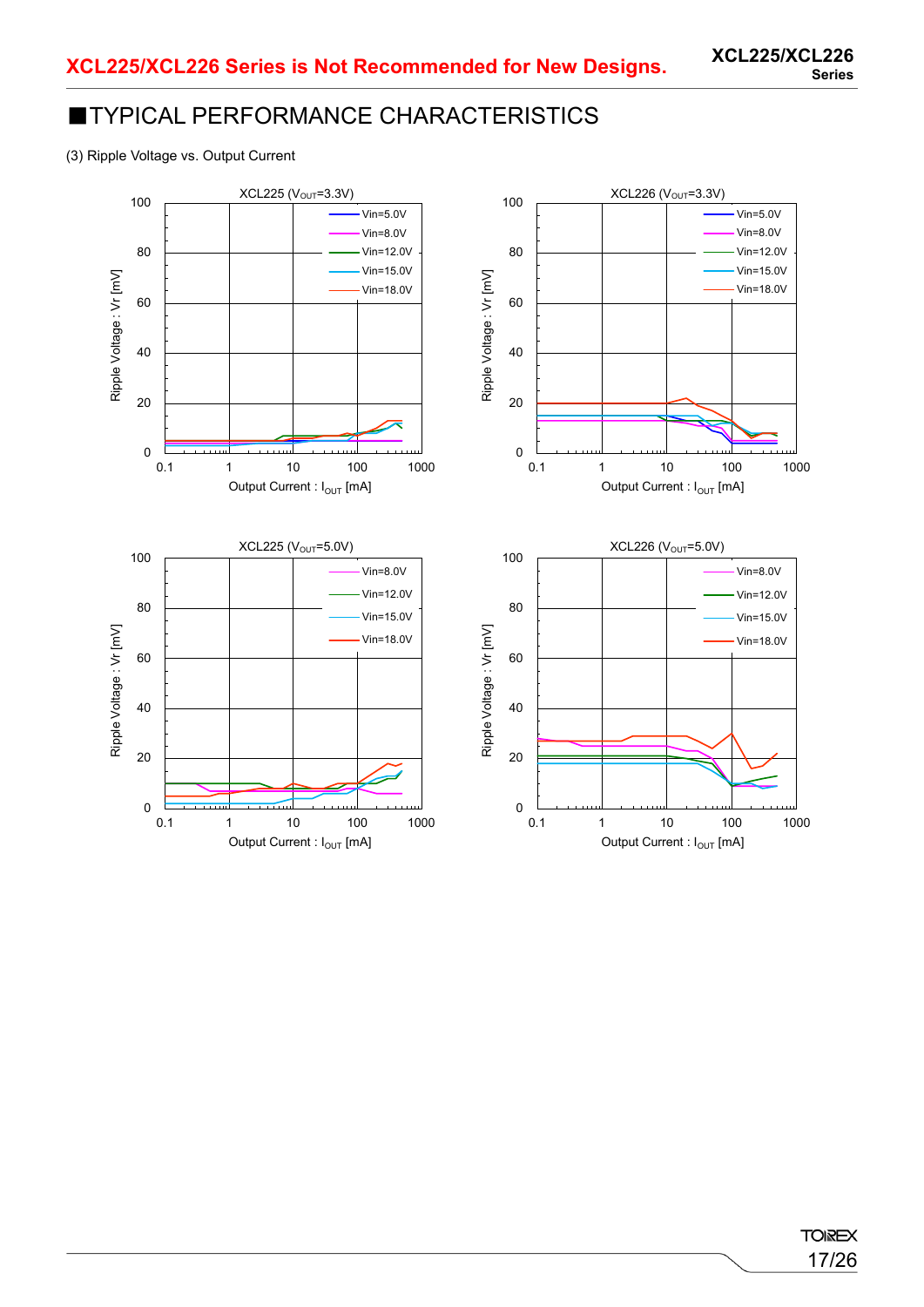(3) Ripple Voltage vs. Output Current



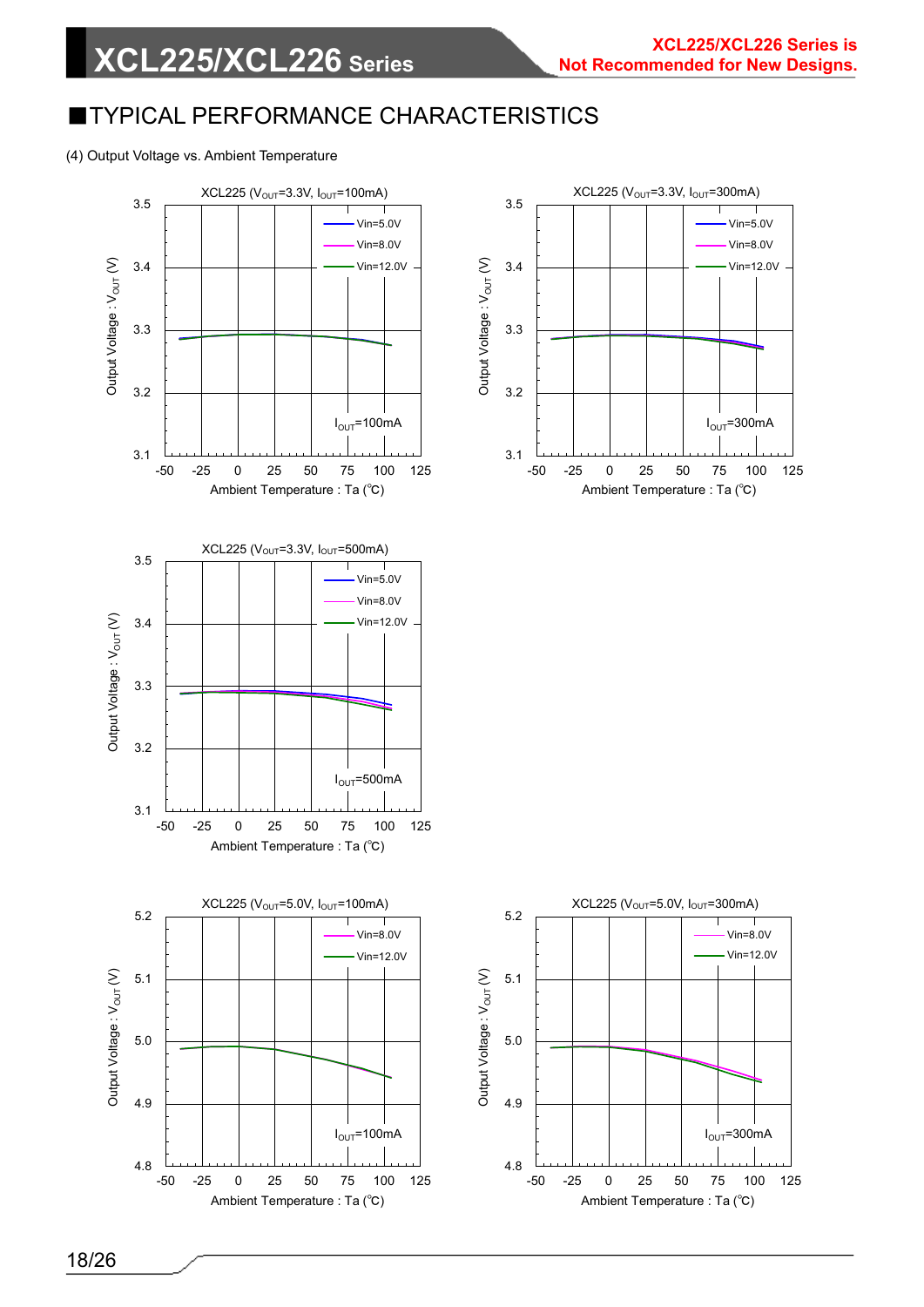#### (4) Output Voltage vs. Ambient Temperature

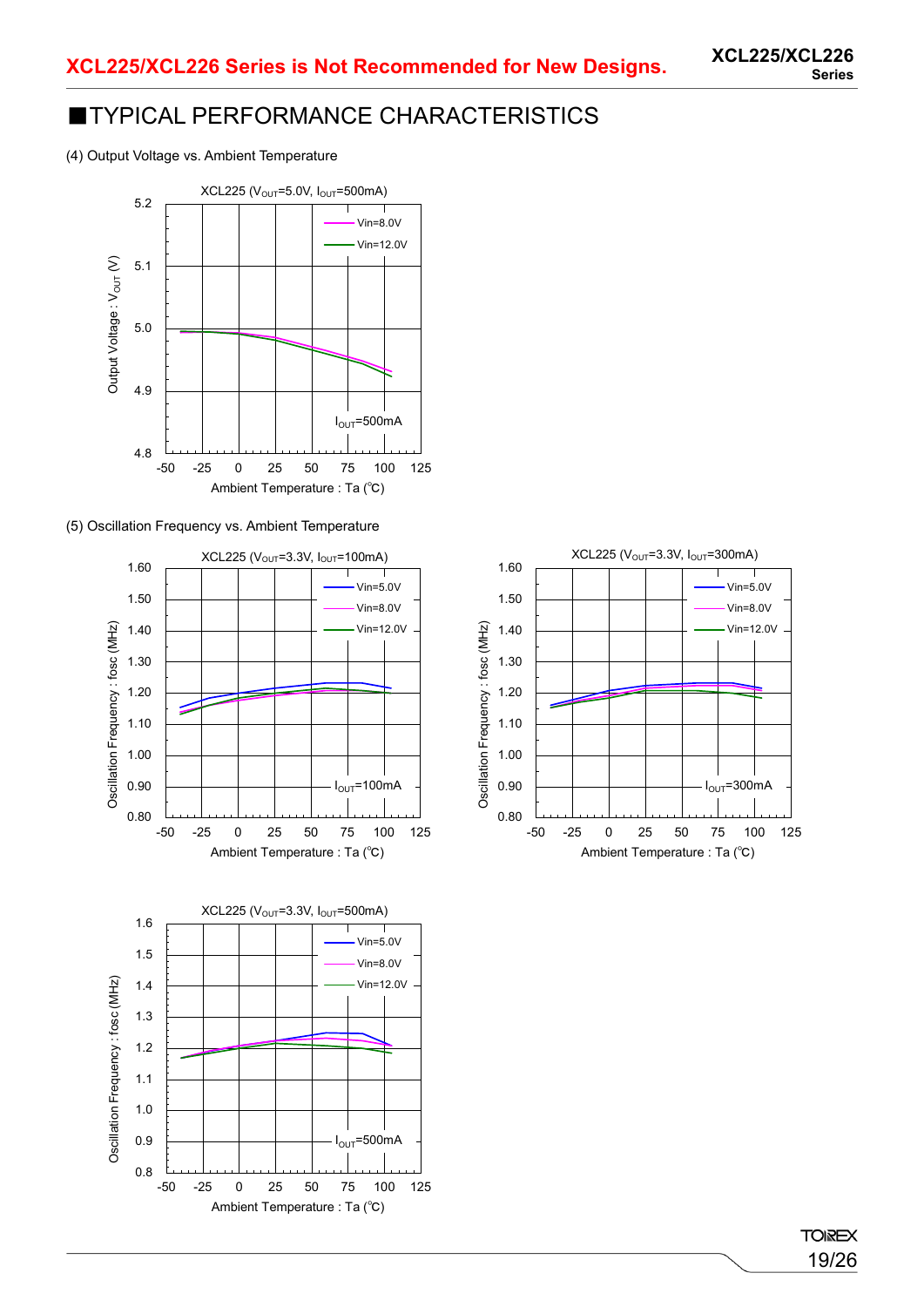(4) Output Voltage vs. Ambient Temperature



(5) Oscillation Frequency vs. Ambient Temperature





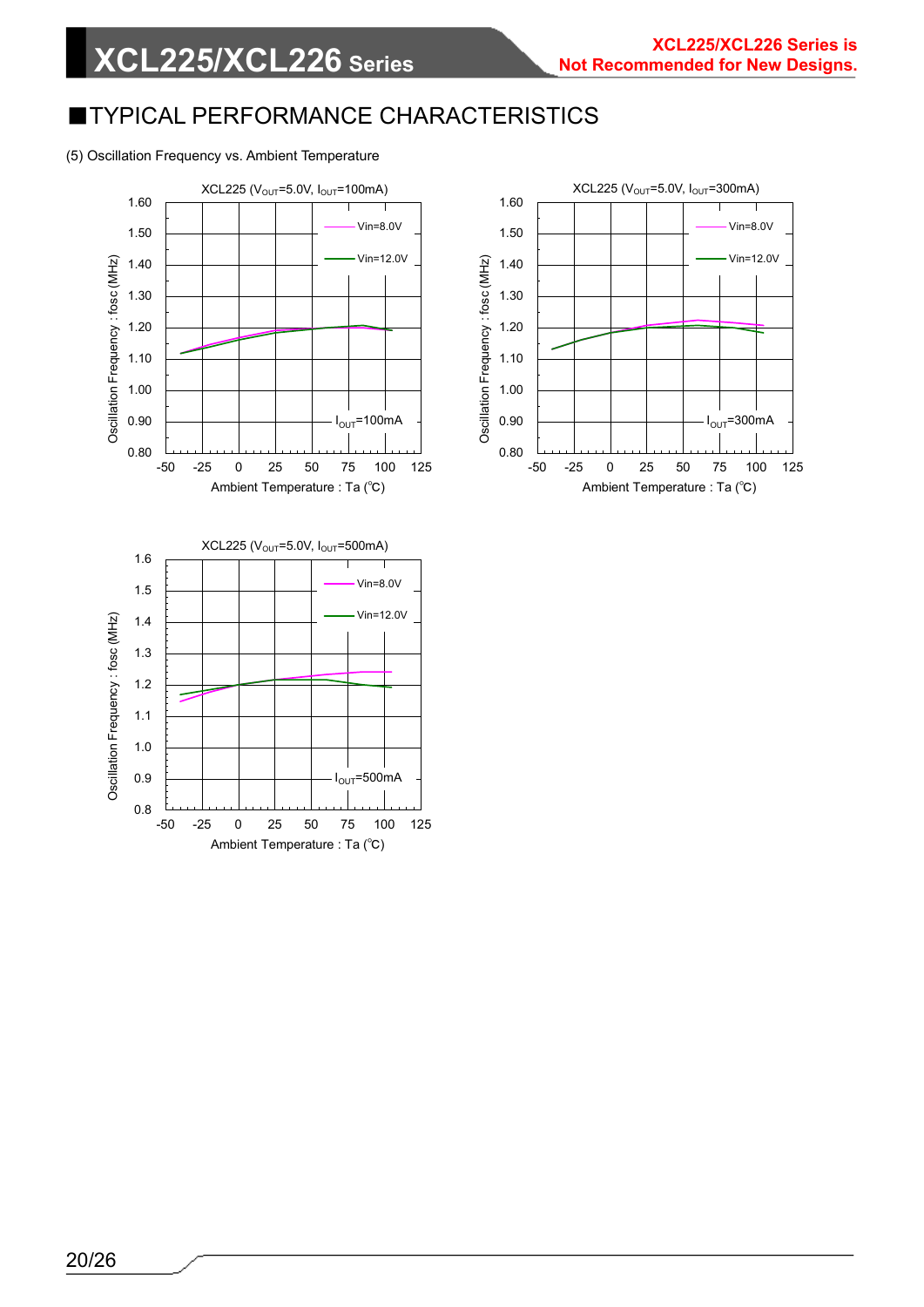#### (5) Oscillation Frequency vs. Ambient Temperature



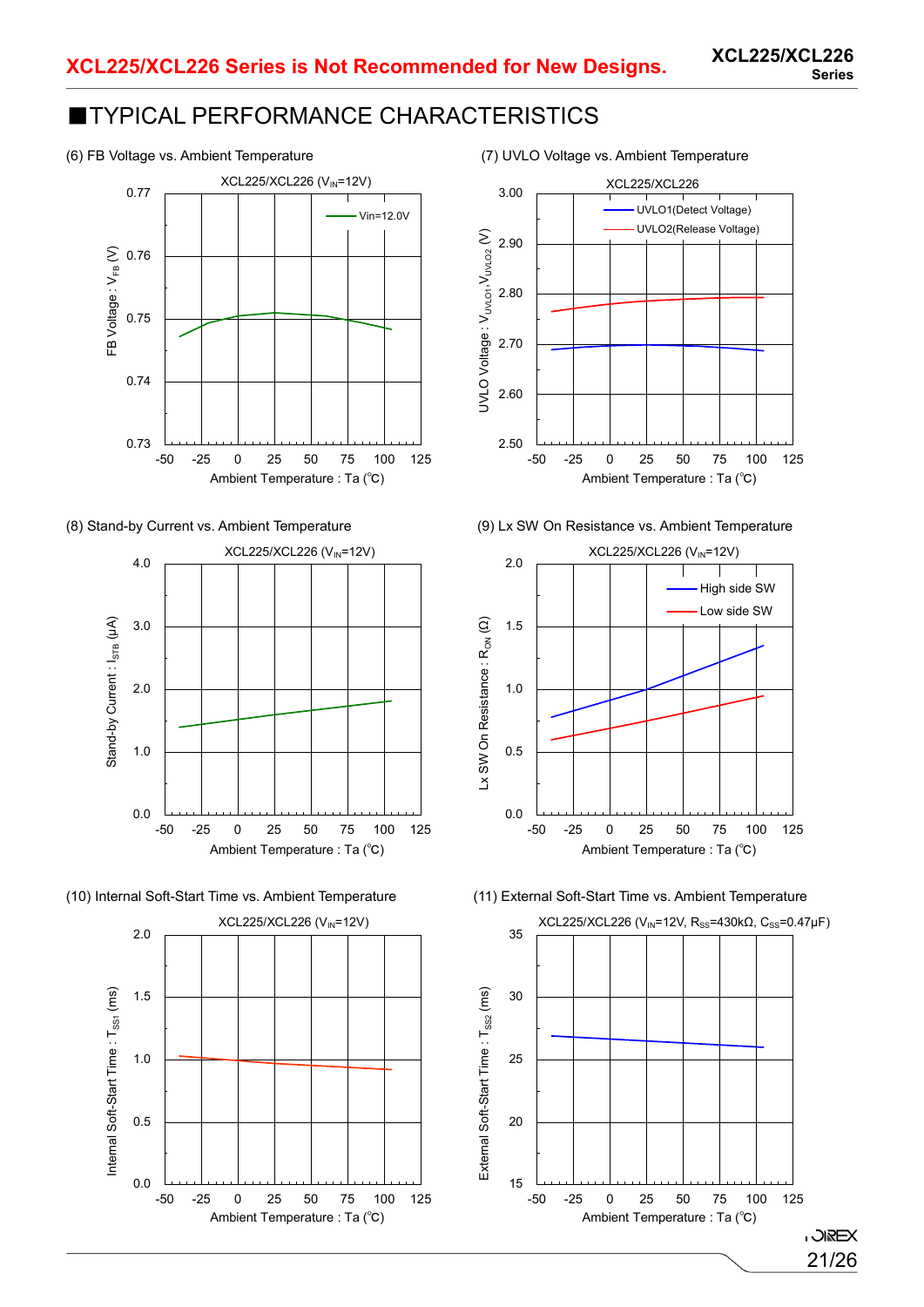

















(6) FB Voltage vs. Ambient Temperature (7) UVLO Voltage vs. Ambient Temperature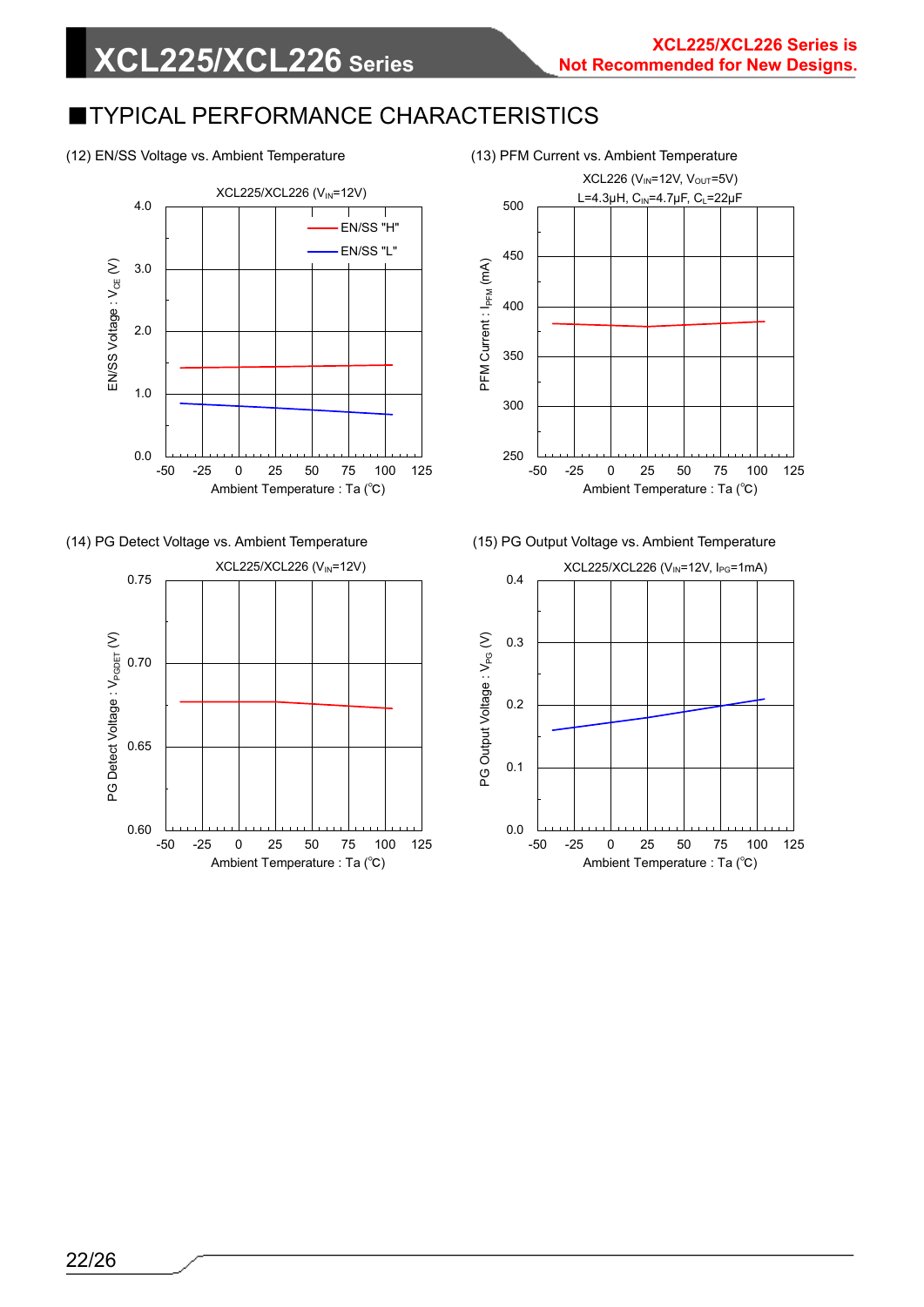#### (12) EN/SS Voltage vs. Ambient Temperature (13) PFM Current vs. Ambient Temperature

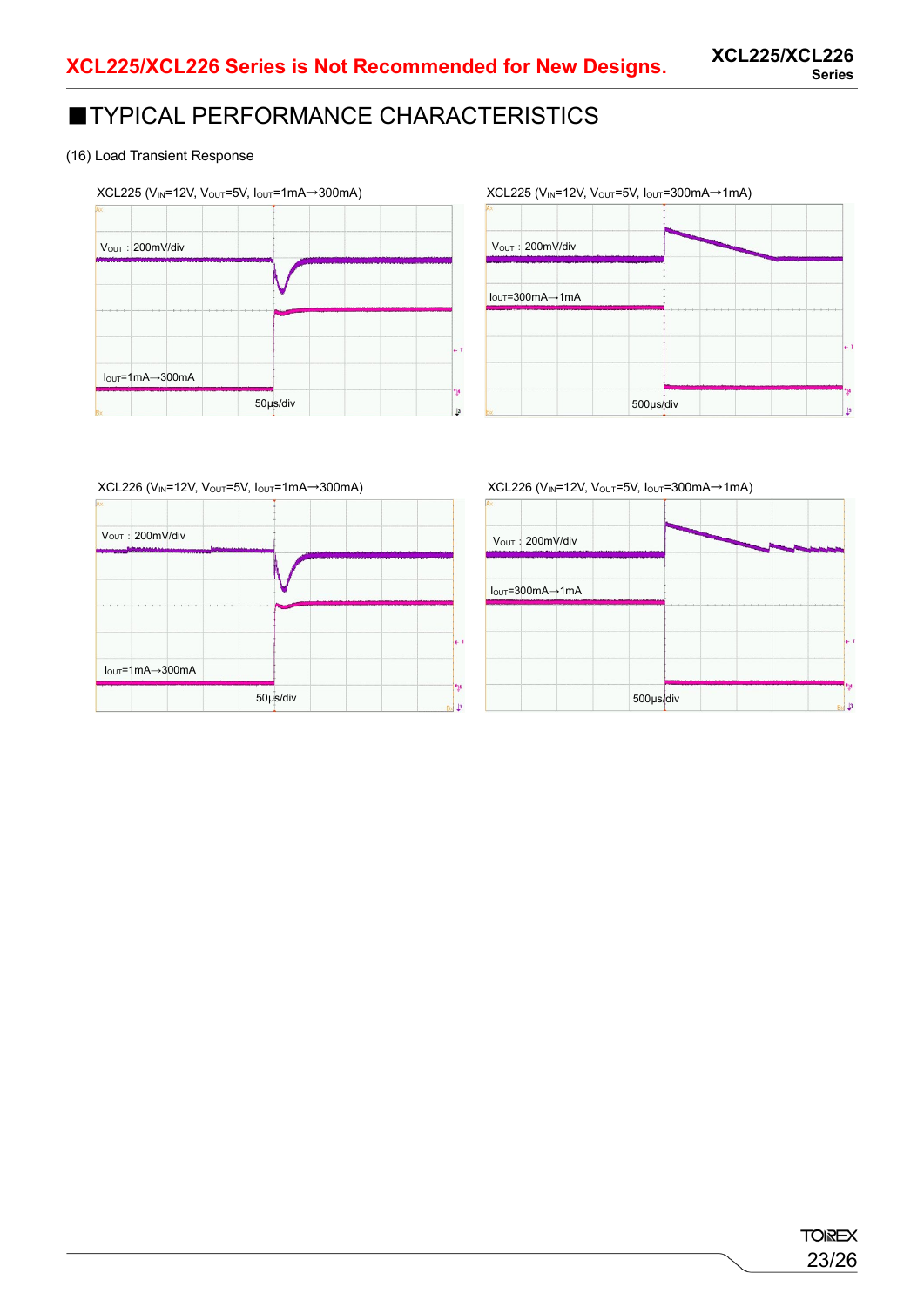#### (16) Load Transient Response



# $XCL225$  (V<sub>IN</sub>=12V, V<sub>OUT</sub>=5V, I<sub>OUT</sub>=300mA→1mA) 500μs/div IOUT=300mA→1mA Vout: 200mV/div

 $XCL226$  (V<sub>IN</sub>=12V, V<sub>OUT</sub>=5V, I<sub>OUT</sub>=1mA $\rightarrow$ 300mA)

| VOUT: 200mV/div                   |          |              |
|-----------------------------------|----------|--------------|
|                                   |          |              |
|                                   |          |              |
|                                   |          |              |
|                                   |          |              |
|                                   |          | $\leftarrow$ |
| $I_{OUT} = 1mA \rightarrow 300mA$ |          |              |
|                                   | 50µs/div | ŀ۷<br>B      |

#### $XCL226$  (V<sub>IN</sub>=12V, V<sub>OUT</sub>=5V, I<sub>OUT</sub>=300mA $\rightarrow$ 1mA)

| VOUT: 200mV/div                                          |  |
|----------------------------------------------------------|--|
|                                                          |  |
| $I_{\text{OUT}} = 300 \text{mA} \rightarrow 1 \text{mA}$ |  |
|                                                          |  |
|                                                          |  |
|                                                          |  |
|                                                          |  |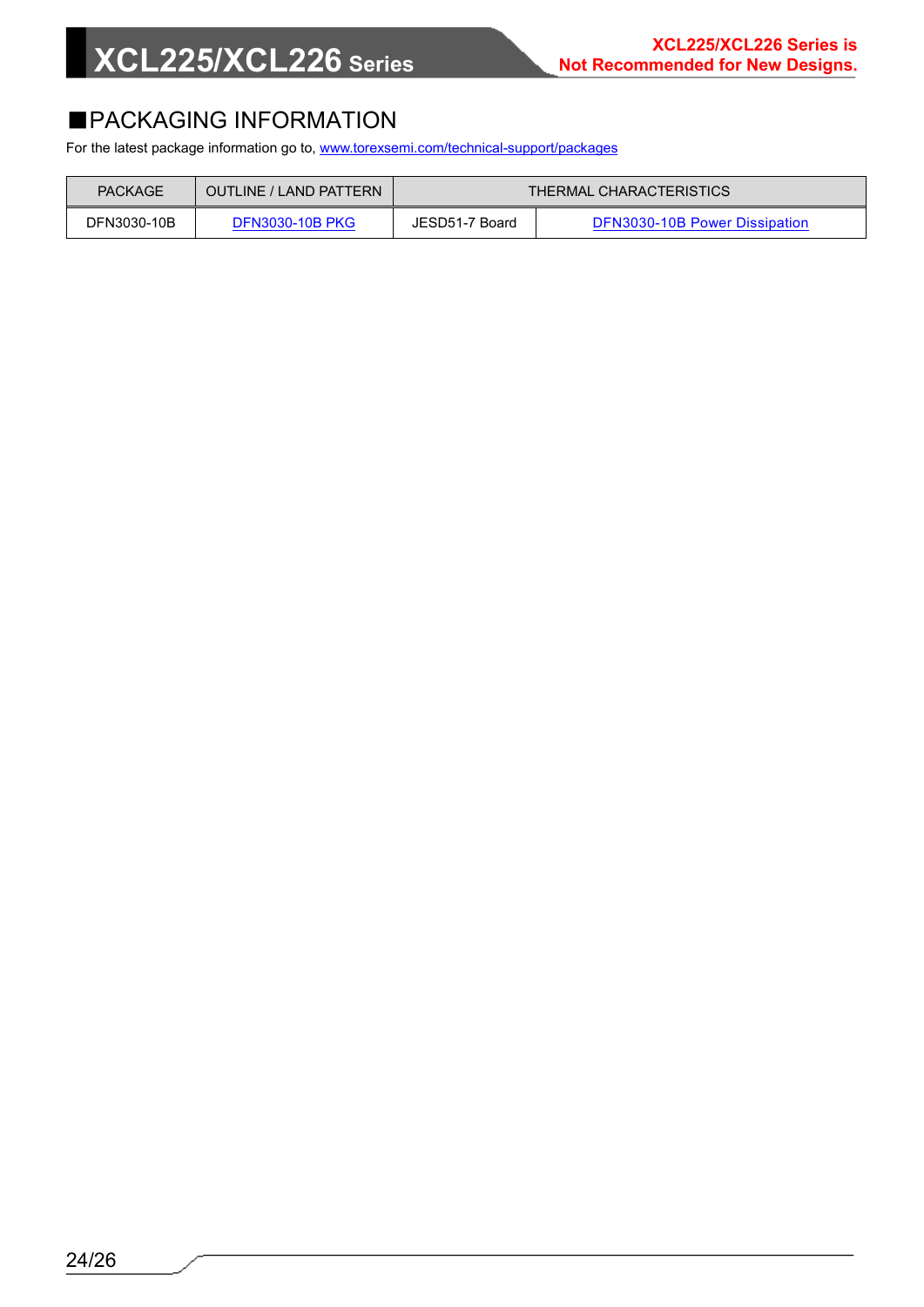# **XCL225/XCL226 Series**

### ■PACKAGING INFORMATION

For the latest package information go to, [www.torexsemi.com/technical-support/packages](https://www.torexsemi.com/technical-support/packages/)

| PACKAGE     | OUTLINE / LAND PATTERN | THERMAL CHARACTERISTICS |                               |
|-------------|------------------------|-------------------------|-------------------------------|
| DFN3030-10B | <b>DFN3030-10B PKG</b> | JESD51-7 Board          | DFN3030-10B Power Dissipation |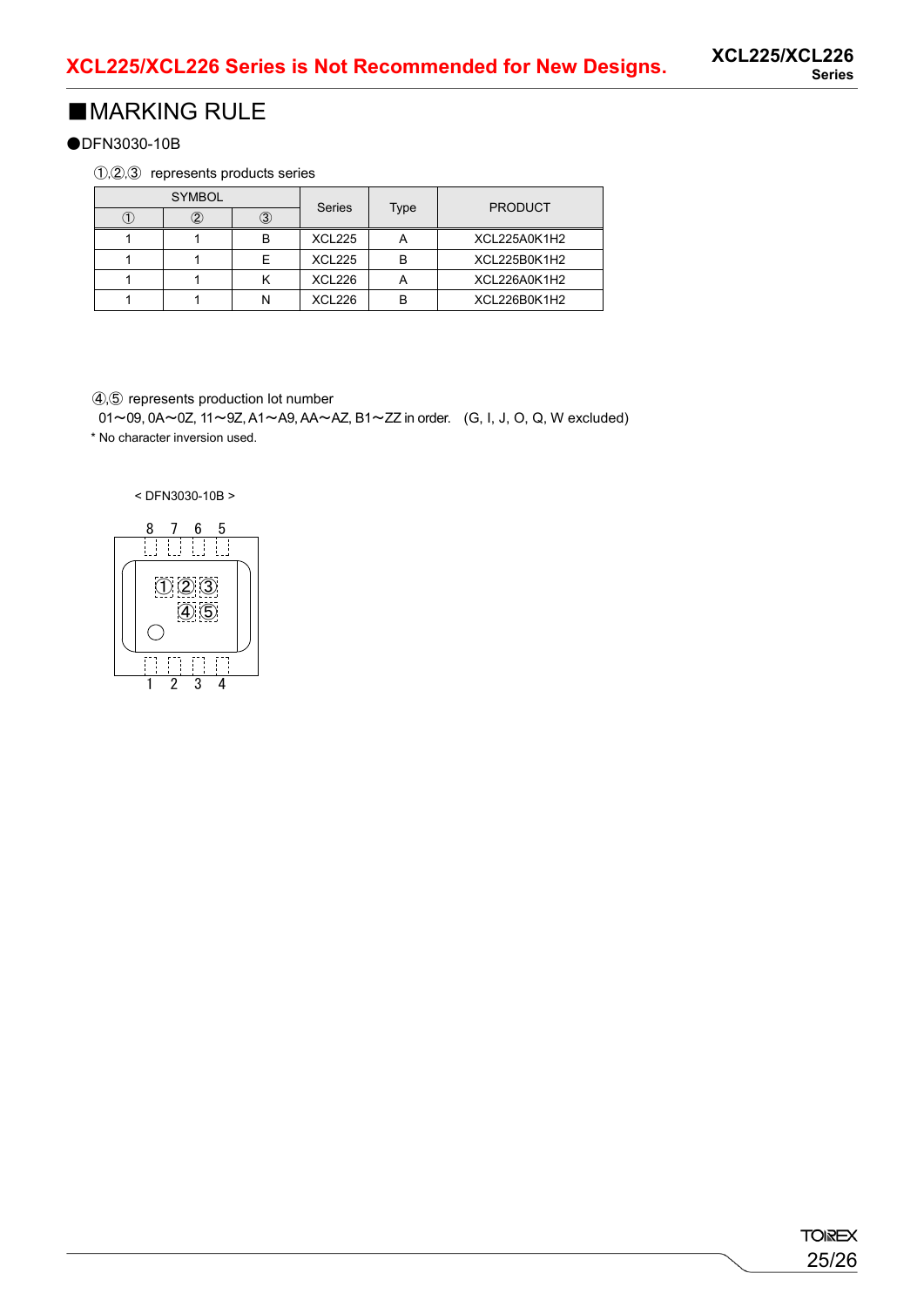### ■MARKING RULE

●DFN3030-10B

①,②,③ represents products series

| <b>SYMBOL</b> |  | Series |               | <b>PRODUCT</b>           |              |
|---------------|--|--------|---------------|--------------------------|--------------|
|               |  |        |               | Type                     |              |
|               |  | R      | <b>XCL225</b> | $\overline{\phantom{a}}$ | XCL225A0K1H2 |
|               |  |        | <b>XCL225</b> | в                        | XCL225B0K1H2 |
|               |  |        | <b>XCL226</b> |                          | XCL226A0K1H2 |
|               |  |        | XCL226        |                          | XCL226B0K1H2 |

④,⑤ represents production lot number

01~09, 0A~0Z, 11~9Z, A1~A9, AA~AZ, B1~ZZ in order. (G, I, J, O, Q, W excluded) \* No character inversion used.

< DFN3030-10B >